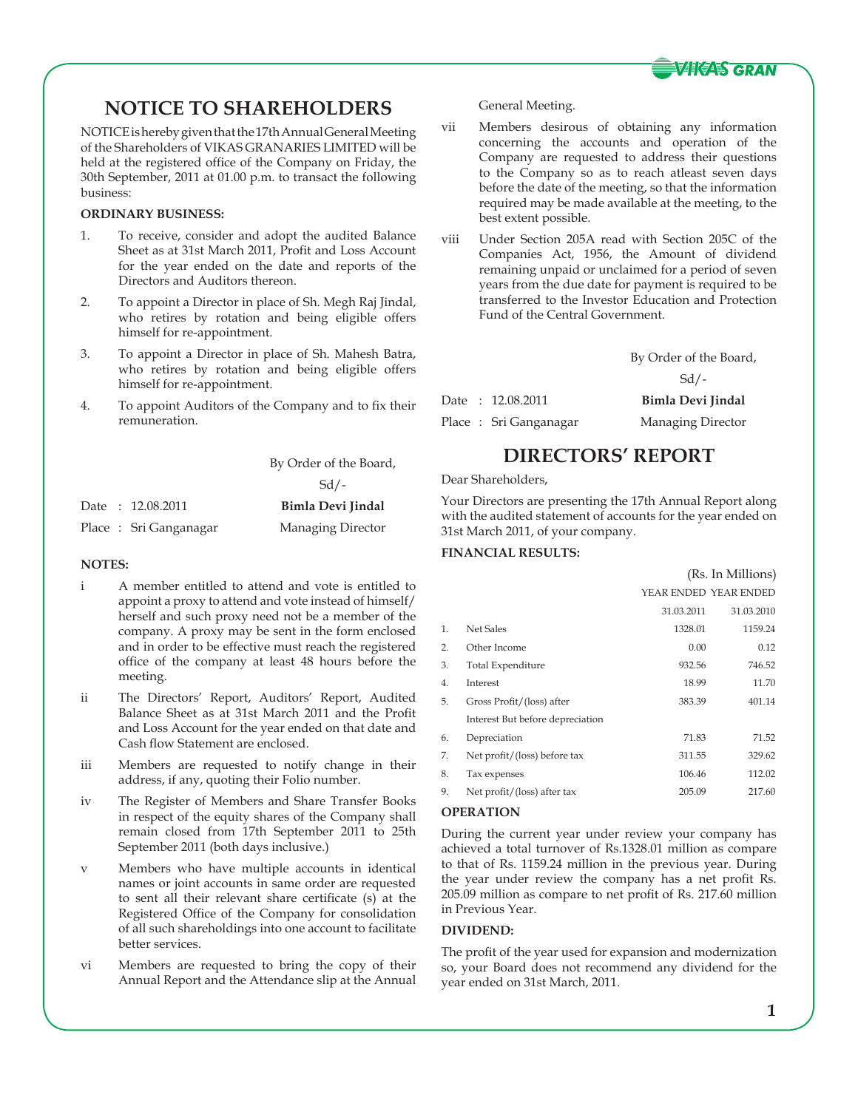

# **NOTICE TO SHAREHOLDERS**

NOTICE is hereby given that the 17th Annual General Meeting of the Shareholders of VIKAS GRANARIES LIMITED will be held at the registered office of the Company on Friday, the 30th September, 2011 at 01.00 p.m. to transact the following business:

### **ORDINARY BUSINESS:**

- 1. To receive, consider and adopt the audited Balance Sheet as at 31st March 2011, Profit and Loss Account for the year ended on the date and reports of the Directors and Auditors thereon.
- 2. To appoint a Director in place of Sh. Megh Raj Jindal, who retires by rotation and being eligible offers himself for re-appointment.
- 3. To appoint a Director in place of Sh. Mahesh Batra, who retires by rotation and being eligible offers himself for re-appointment.
- 4. To appoint Auditors of the Company and to fix their remuneration.

|  |                        | By Order of the Board, |
|--|------------------------|------------------------|
|  |                        | $Sd/-$                 |
|  | Date : 12.08.2011      | Bimla Devi Jindal      |
|  | Place : Sri Ganganagar | Managing Director      |

### **NOTES:**

- i A member entitled to attend and vote is entitled to appoint a proxy to attend and vote instead of himself/ herself and such proxy need not be a member of the company. A proxy may be sent in the form enclosed and in order to be effective must reach the registered office of the company at least 48 hours before the meeting.
- ii The Directors' Report, Auditors' Report, Audited Balance Sheet as at 31st March 2011 and the Profit and Loss Account for the year ended on that date and Cash flow Statement are enclosed.
- iii Members are requested to notify change in their address, if any, quoting their Folio number.
- iv The Register of Members and Share Transfer Books in respect of the equity shares of the Company shall remain closed from 17th September 2011 to 25th September 2011 (both days inclusive.)
- v Members who have multiple accounts in identical names or joint accounts in same order are requested to sent all their relevant share certificate (s) at the Registered Office of the Company for consolidation of all such shareholdings into one account to facilitate better services.
- vi Members are requested to bring the copy of their Annual Report and the Attendance slip at the Annual

General Meeting.

- vii Members desirous of obtaining any information concerning the accounts and operation of the Company are requested to address their questions to the Company so as to reach atleast seven days before the date of the meeting, so that the information required may be made available at the meeting, to the best extent possible.
- viii Under Section 205A read with Section 205C of the Companies Act, 1956, the Amount of dividend remaining unpaid or unclaimed for a period of seven years from the due date for payment is required to be transferred to the Investor Education and Protection Fund of the Central Government.

|                   | By Order of the Board, |
|-------------------|------------------------|
|                   | $Sd/$ -                |
| Date + 12.08.2011 | Rimla Devi Jindal      |

|  | Date : 12.08.2011     | Bimla Devi Jindal |
|--|-----------------------|-------------------|
|  | Place: Sri Ganganagar | Managing Director |

## **DIRECTORS' REPORT**

Dear Shareholders,

Your Directors are presenting the 17th Annual Report along with the audited statement of accounts for the year ended on 31st March 2011, of your company.

## **FINANCIAL RESULTS:**

|    |                                  |            | (Rs. In Millions)     |
|----|----------------------------------|------------|-----------------------|
|    |                                  |            | YEAR ENDED YEAR ENDED |
|    |                                  | 31.03.2011 | 31.03.2010            |
| 1. | Net Sales                        | 1328.01    | 1159.24               |
| 2. | Other Income                     | 0.00       | 0.12                  |
| 3. | <b>Total Expenditure</b>         | 932.56     | 746.52                |
| 4. | Interest                         | 18.99      | 11.70                 |
| 5. | Gross Profit/(loss) after        | 383.39     | 401.14                |
|    | Interest But before depreciation |            |                       |
| 6. | Depreciation                     | 71.83      | 71.52                 |
| 7. | Net profit/(loss) before tax     | 311.55     | 329.62                |
| 8. | Tax expenses                     | 106.46     | 112.02                |
| 9. | Net profit/(loss) after tax      | 205.09     | 217.60                |
|    |                                  |            |                       |

### **OPERATION**

During the current year under review your company has achieved a total turnover of Rs.1328.01 million as compare to that of Rs. 1159.24 million in the previous year. During the year under review the company has a net profit Rs. 205.09 million as compare to net profit of Rs. 217.60 million in Previous Year.

### **DIVIDEND:**

The profit of the year used for expansion and modernization so, your Board does not recommend any dividend for the year ended on 31st March, 2011.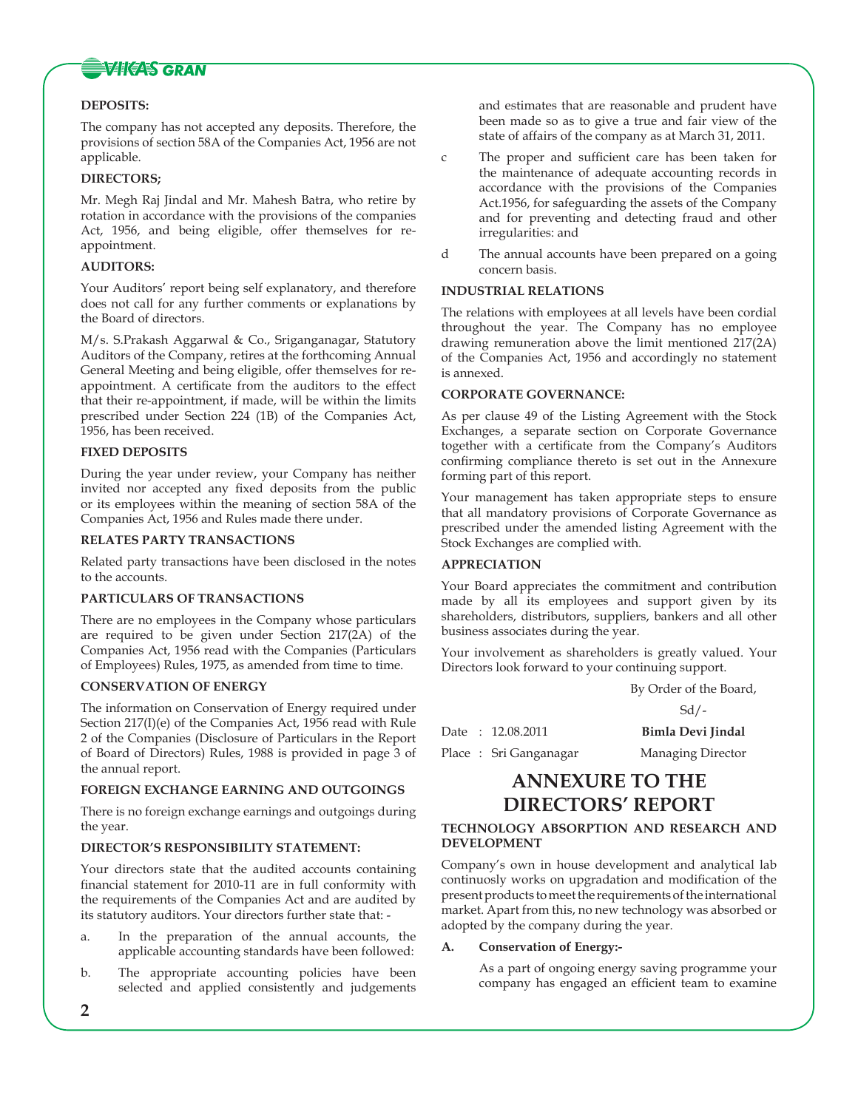

### **DEPOSITS:**

The company has not accepted any deposits. Therefore, the provisions of section 58A of the Companies Act, 1956 are not applicable.

### **DIRECTORS;**

Mr. Megh Raj Jindal and Mr. Mahesh Batra, who retire by rotation in accordance with the provisions of the companies Act, 1956, and being eligible, offer themselves for reappointment.

### **AUDITORS:**

Your Auditors' report being self explanatory, and therefore does not call for any further comments or explanations by the Board of directors.

M/s. S.Prakash Aggarwal & Co., Sriganganagar, Statutory Auditors of the Company, retires at the forthcoming Annual General Meeting and being eligible, offer themselves for reappointment. A certificate from the auditors to the effect that their re-appointment, if made, will be within the limits prescribed under Section 224 (1B) of the Companies Act, 1956, has been received.

### **FIXED DEPOSITS**

During the year under review, your Company has neither invited nor accepted any fixed deposits from the public or its employees within the meaning of section 58A of the Companies Act, 1956 and Rules made there under.

### **RELATES PARTY TRANSACTIONS**

Related party transactions have been disclosed in the notes to the accounts.

### **PARTICULARS OF TRANSACTIONS**

There are no employees in the Company whose particulars are required to be given under Section 217(2A) of the Companies Act, 1956 read with the Companies (Particulars of Employees) Rules, 1975, as amended from time to time.

### **CONSERVATION OF ENERGY**

The information on Conservation of Energy required under Section 217(I)(e) of the Companies Act, 1956 read with Rule 2 of the Companies (Disclosure of Particulars in the Report of Board of Directors) Rules, 1988 is provided in page 3 of the annual report.

### **FOREIGN EXCHANGE EARNING AND OUTGOINGS**

There is no foreign exchange earnings and outgoings during the year.

## **DIRECTOR'S RESPONSIBILITY STATEMENT:**

Your directors state that the audited accounts containing financial statement for 2010-11 are in full conformity with the requirements of the Companies Act and are audited by its statutory auditors. Your directors further state that: -

- a. In the preparation of the annual accounts, the applicable accounting standards have been followed:
- b. The appropriate accounting policies have been selected and applied consistently and judgements

and estimates that are reasonable and prudent have been made so as to give a true and fair view of the state of affairs of the company as at March 31, 2011.

- c The proper and sufficient care has been taken for the maintenance of adequate accounting records in accordance with the provisions of the Companies Act.1956, for safeguarding the assets of the Company and for preventing and detecting fraud and other irregularities: and
- d The annual accounts have been prepared on a going concern basis.

### **INDUSTRIAL RELATIONS**

The relations with employees at all levels have been cordial throughout the year. The Company has no employee drawing remuneration above the limit mentioned 217(2A) of the Companies Act, 1956 and accordingly no statement is annexed.

### **CORPORATE GOVERNANCE:**

As per clause 49 of the Listing Agreement with the Stock Exchanges, a separate section on Corporate Governance together with a certificate from the Company's Auditors confirming compliance thereto is set out in the Annexure forming part of this report.

Your management has taken appropriate steps to ensure that all mandatory provisions of Corporate Governance as prescribed under the amended listing Agreement with the Stock Exchanges are complied with.

### **APPRECIATION**

Your Board appreciates the commitment and contribution made by all its employees and support given by its shareholders, distributors, suppliers, bankers and all other business associates during the year.

Your involvement as shareholders is greatly valued. Your Directors look forward to your continuing support.

By Order of the Board,

Sd/-

|  | Date : 12.08.2011      | <b>Bimla Devi Jindal</b> |
|--|------------------------|--------------------------|
|  | Place : Sri Ganganagar | Managing Director        |

## **ANNEXURE TO THE DIRECTORS' REPORT**

### **TECHNOLOGY ABSORPTION AND RESEARCH AND DEVELOPMENT**

Company's own in house development and analytical lab continuosly works on upgradation and modification of the present products to meet the requirements of the international market. Apart from this, no new technology was absorbed or adopted by the company during the year.

### **A. Conservation of Energy:-**

 As a part of ongoing energy saving programme your company has engaged an efficient team to examine

**2**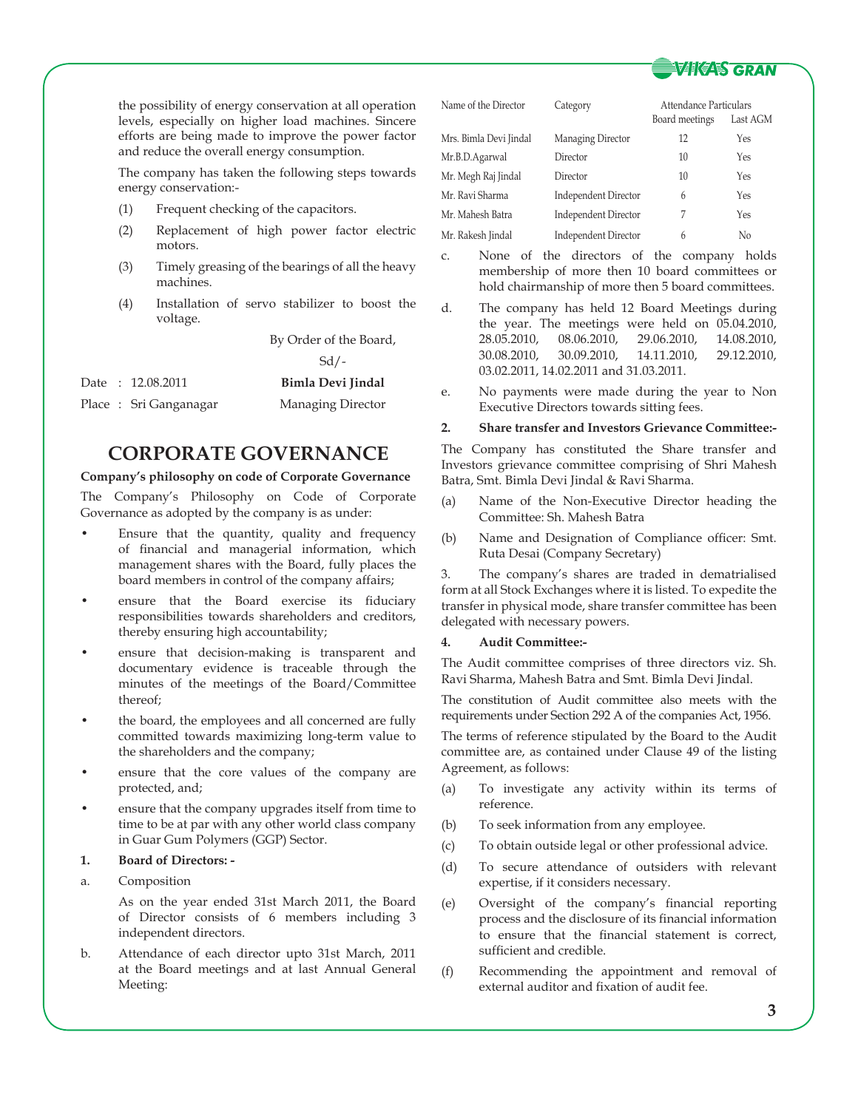

the possibility of energy conservation at all operation levels, especially on higher load machines. Sincere efforts are being made to improve the power factor and reduce the overall energy consumption.

 The company has taken the following steps towards energy conservation:-

- (1) Frequent checking of the capacitors.
- (2) Replacement of high power factor electric motors.
- (3) Timely greasing of the bearings of all the heavy machines.
- (4) Installation of servo stabilizer to boost the voltage.

By Order of the Board,

### Sd/-

|  | Date: 12.08.2011       | Bimla Devi Jindal |
|--|------------------------|-------------------|
|  | Place : Sri Ganganagar | Managing Director |

# **CORPORATE GOVERNANCE**

### **Company's philosophy on code of Corporate Governance**

The Company's Philosophy on Code of Corporate Governance as adopted by the company is as under:

- Ensure that the quantity, quality and frequency of financial and managerial information, which management shares with the Board, fully places the board members in control of the company affairs;
- ensure that the Board exercise its fiduciary responsibilities towards shareholders and creditors, thereby ensuring high accountability;
- ensure that decision-making is transparent and documentary evidence is traceable through the minutes of the meetings of the Board/Committee thereof;
- the board, the employees and all concerned are fully committed towards maximizing long-term value to the shareholders and the company;
- ensure that the core values of the company are protected, and;
- ensure that the company upgrades itself from time to time to be at par with any other world class company in Guar Gum Polymers (GGP) Sector.

### **1. Board of Directors: -**

a. Composition

 As on the year ended 31st March 2011, the Board of Director consists of 6 members including 3 independent directors.

b. Attendance of each director upto 31st March, 2011 at the Board meetings and at last Annual General Meeting:

| Name of the Director   | Category                    | Attendance Particulars |          |  |
|------------------------|-----------------------------|------------------------|----------|--|
|                        |                             | Board meetings         | Last AGM |  |
| Mrs. Bimla Devi Jindal | Managing Director           | 12                     | Yes      |  |
| Mr.B.D.Agarwal         | Director                    | 10                     | Yes      |  |
| Mr. Megh Raj Jindal    | Director                    | 10                     | Yes      |  |
| Mr. Ravi Sharma        | Independent Director        | 6                      | Yes      |  |
| Mr. Mahesh Batra       | <b>Independent Director</b> | 7                      | Yes      |  |
| Mr. Rakesh Jindal      | Independent Director        | 6                      | No       |  |

- c. None of the directors of the company holds membership of more then 10 board committees or hold chairmanship of more then 5 board committees.
- d. The company has held 12 Board Meetings during the year. The meetings were held on 05.04.2010, 28.05.2010, 08.06.2010, 29.06.2010, 14.08.2010, 30.08.2010, 30.09.2010, 14.11.2010, 29.12.2010, 03.02.2011, 14.02.2011 and 31.03.2011.
- e. No payments were made during the year to Non Executive Directors towards sitting fees.

### **2. Share transfer and Investors Grievance Committee:-**

The Company has constituted the Share transfer and Investors grievance committee comprising of Shri Mahesh Batra, Smt. Bimla Devi Jindal & Ravi Sharma.

- (a) Name of the Non-Executive Director heading the Committee: Sh. Mahesh Batra
- (b) Name and Designation of Compliance officer: Smt. Ruta Desai (Company Secretary)

3. The company's shares are traded in dematrialised form at all Stock Exchanges where it is listed. To expedite the transfer in physical mode, share transfer committee has been delegated with necessary powers.

### **4. Audit Committee:-**

The Audit committee comprises of three directors viz. Sh. Ravi Sharma, Mahesh Batra and Smt. Bimla Devi Jindal.

The constitution of Audit committee also meets with the requirements under Section 292 A of the companies Act, 1956.

The terms of reference stipulated by the Board to the Audit committee are, as contained under Clause 49 of the listing Agreement, as follows:

- (a) To investigate any activity within its terms of reference.
- (b) To seek information from any employee.
- (c) To obtain outside legal or other professional advice.
- (d) To secure attendance of outsiders with relevant expertise, if it considers necessary.
- (e) Oversight of the company's financial reporting process and the disclosure of its financial information to ensure that the financial statement is correct, sufficient and credible.
- (f) Recommending the appointment and removal of external auditor and fixation of audit fee.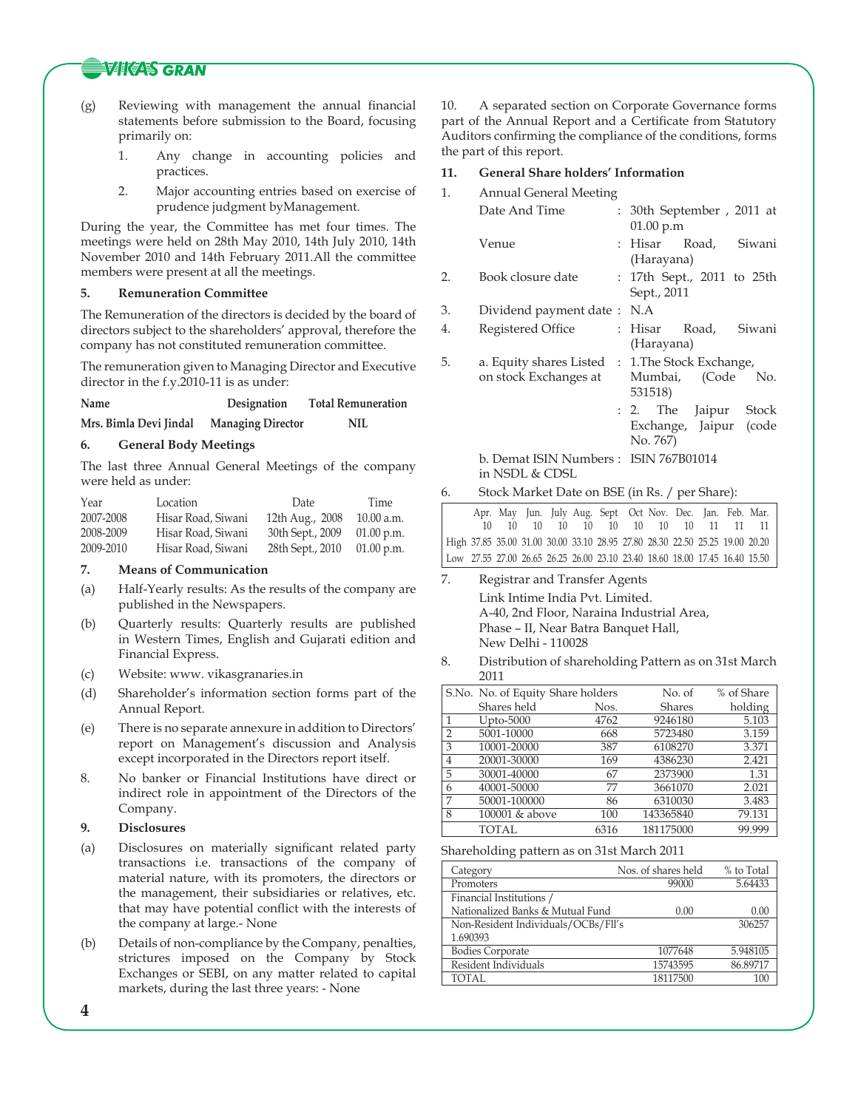## **WIKAS GRAN**

- (g) Reviewing with management the annual financial statements before submission to the Board, focusing primarily on:
	- 1. Any change in accounting policies and practices.
	- 2. Major accounting entries based on exercise of prudence judgment byManagement.

During the year, the Committee has met four times. The meetings were held on 28th May 2010, 14th July 2010, 14th November 2010 and 14th February 2011.All the committee members were present at all the meetings.

### **5. Remuneration Committee**

The Remuneration of the directors is decided by the board of directors subject to the shareholders' approval, therefore the company has not constituted remuneration committee.

The remuneration given to Managing Director and Executive director in the f.y.2010-11 is as under:

**Name Designation Total Remuneration**

**Mrs. Bimla Devi Jindal Managing Director NIL**

### **6. General Body Meetings**

The last three Annual General Meetings of the company were held as under:

| Year      | Location           | Date             | Time         |
|-----------|--------------------|------------------|--------------|
| 2007-2008 | Hisar Road, Siwani | 12th Aug., 2008  | 10.00 a.m.   |
| 2008-2009 | Hisar Road, Siwani | 30th Sept., 2009 | $01.00$ p.m. |
| 2009-2010 | Hisar Road, Siwani | 28th Sept., 2010 | $01.00$ p.m. |

### **7. Means of Communication**

- (a) Half-Yearly results: As the results of the company are published in the Newspapers.
- (b) Quarterly results: Quarterly results are published in Western Times, English and Gujarati edition and Financial Express.
- (c) Website: www. vikasgranaries.in
- (d) Shareholder's information section forms part of the Annual Report.
- (e) There is no separate annexure in addition to Directors' report on Management's discussion and Analysis except incorporated in the Directors report itself.
- 8. No banker or Financial Institutions have direct or indirect role in appointment of the Directors of the Company.

#### **9. Disclosures**

- (a) Disclosures on materially significant related party transactions i.e. transactions of the company of material nature, with its promoters, the directors or the management, their subsidiaries or relatives, etc. that may have potential conflict with the interests of the company at large.- None
- (b) Details of non-compliance by the Company, penalties, strictures imposed on the Company by Stock Exchanges or SEBI, on any matter related to capital markets, during the last three years: - None

10. A separated section on Corporate Governance forms part of the Annual Report and a Certificate from Statutory Auditors confirming the compliance of the conditions, forms the part of this report.

### **11. General Share holders' Information**

| 1. | <b>Annual General Meeting</b>                                             |                                                             |
|----|---------------------------------------------------------------------------|-------------------------------------------------------------|
|    | Date And Time                                                             | : 30th September, 2011 at<br>01.00 p.m                      |
|    | Venue                                                                     | : Hisar Road, Siwani<br>(Harayana)                          |
| 2. | Book closure date                                                         | : 17th Sept., 2011 to 25th<br>Sept., 2011                   |
| 3. | Dividend payment date:                                                    | N.A                                                         |
| 4. | Registered Office                                                         | : Hisar Road, Siwani<br>(Harayana)                          |
| 5. | a. Equity shares Listed : 1. The Stock Exchange,<br>on stock Exchanges at | Mumbai, (Code No.<br>531518)                                |
|    |                                                                           | : 2. The Jaipur Stock<br>Exchange, Jaipur (code<br>No. 767) |
|    | b. Demat ISIN Numbers: ISIN 767B01014<br>in NSDL & CDSL                   |                                                             |

6. Stock Market Date on BSE (in Rs. / per Share):

|  |  |  |  |  |  | Apr. May Jun. July Aug. Sept Oct Nov. Dec. Jan. Feb. Mar.<br>10 10 10 10 10 10 10 10 11 11 11 |
|--|--|--|--|--|--|-----------------------------------------------------------------------------------------------|
|  |  |  |  |  |  | High 37.85 35.00 31.00 30.00 33.10 28.95 27.80 28.30 22.50 25.25 19.00 20.20                  |
|  |  |  |  |  |  | Low 27.55 27.00 26.65 26.25 26.00 23.10 23.40 18.60 18.00 17.45 16.40 15.50                   |

- 7. Registrar and Transfer Agents Link Intime India Pvt. Limited. A-40, 2nd Floor, Naraina Industrial Area, Phase – II, Near Batra Banquet Hall, New Delhi - 110028
- 8. Distribution of shareholding Pattern as on 31st March 2011

|                | S.No. No. of Equity Share holders |      | No. of        | % of Share |
|----------------|-----------------------------------|------|---------------|------------|
|                | Shares held                       | Nos. | <b>Shares</b> | holding    |
|                | Upto-5000                         | 4762 | 9246180       | 5.103      |
| $\overline{2}$ | 5001-10000                        | 668  | 5723480       | 3.159      |
| 3              | 10001-20000                       | 387  | 6108270       | 3.371      |
| 4              | 20001-30000                       | 169  | 4386230       | 2.421      |
| 5              | 30001-40000                       | 67   | 2373900       | 1.31       |
| 6              | 40001-50000                       | 77   | 3661070       | 2.021      |
|                | 50001-100000                      | 86   | 6310030       | 3.483      |
| 8              | 100001 & above                    | 100  | 143365840     | 79.131     |
|                | TOTAL                             | 6316 | 181175000     | 99.999     |

Shareholding pattern as on 31st March 2011

| Category                            | Nos. of shares held | % to Total |
|-------------------------------------|---------------------|------------|
| Promoters                           | 99000               | 5.64433    |
| Financial Institutions /            |                     |            |
| Nationalized Banks & Mutual Fund    | 0.00                | 0.00       |
| Non-Resident Individuals/OCBs/Fll's |                     | 306257     |
| 1.690393                            |                     |            |
| <b>Bodies Corporate</b>             | 1077648             | 5.948105   |
| Resident Individuals                | 15743595            | 86.89717   |
| TOTAL.                              | 18117500            | 100        |

**4**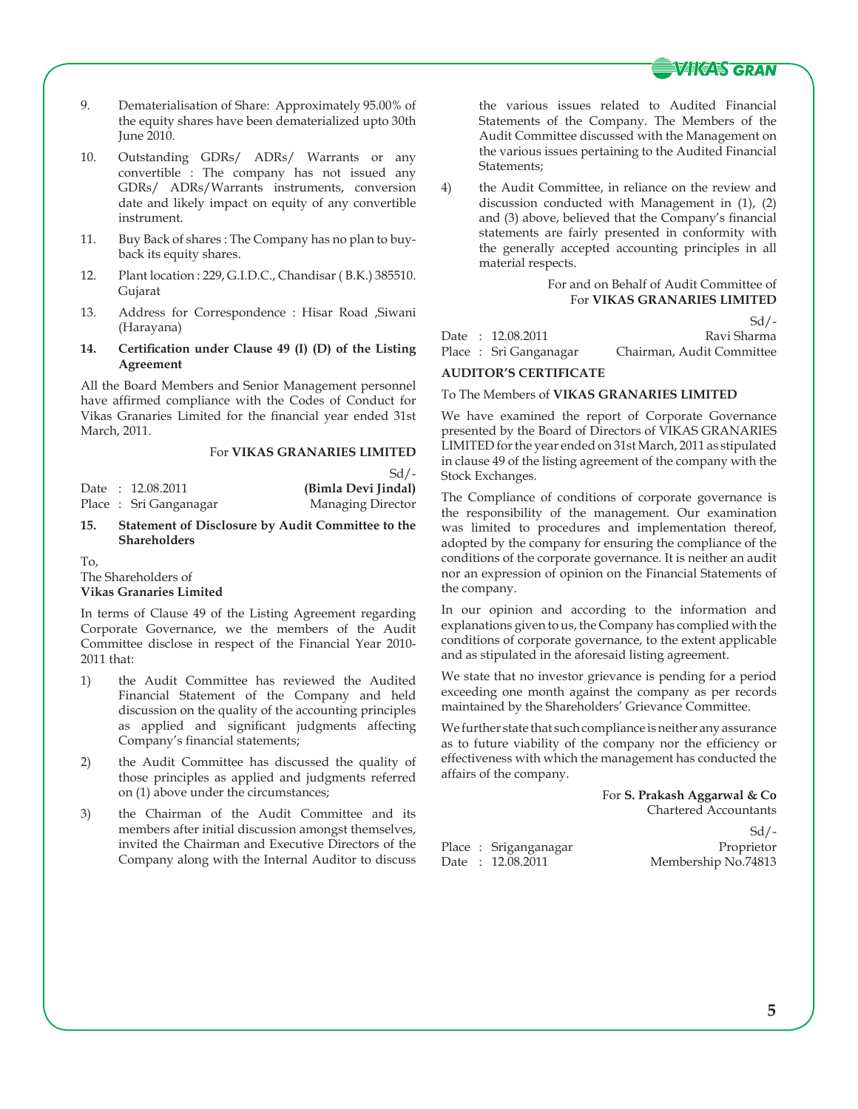

 $C<sub>d</sub>/$ 

- 9. Dematerialisation of Share: Approximately 95.00% of the equity shares have been dematerialized upto 30th June 2010.
- 10. Outstanding GDRs/ ADRs/ Warrants or any convertible : The company has not issued any GDRs/ ADRs/Warrants instruments, conversion date and likely impact on equity of any convertible instrument.
- 11. Buy Back of shares : The Company has no plan to buyback its equity shares.
- 12. Plant location : 229, G.I.D.C., Chandisar ( B.K.) 385510. Gujarat
- 13. Address for Correspondence : Hisar Road ,Siwani (Harayana)
- **14. Certification under Clause 49 (I) (D) of the Listing Agreement**

All the Board Members and Senior Management personnel have affirmed compliance with the Codes of Conduct for Vikas Granaries Limited for the financial year ended 31st March, 2011.

### For **VIKAS GRANARIES LIMITED**

|  |                       | $Sd/$ -             |
|--|-----------------------|---------------------|
|  | Date: 12.08.2011      | (Bimla Devi Jindal) |
|  | Place: Sri Ganganagar | Managing Director   |

**15. Statement of Disclosure by Audit Committee to the Shareholders**

To,

The Shareholders of **Vikas Granaries Limited**

In terms of Clause 49 of the Listing Agreement regarding Corporate Governance, we the members of the Audit Committee disclose in respect of the Financial Year 2010- 2011 that:

- 1) the Audit Committee has reviewed the Audited Financial Statement of the Company and held discussion on the quality of the accounting principles as applied and significant judgments affecting Company's financial statements;
- 2) the Audit Committee has discussed the quality of those principles as applied and judgments referred on (1) above under the circumstances;
- 3) the Chairman of the Audit Committee and its members after initial discussion amongst themselves, invited the Chairman and Executive Directors of the Company along with the Internal Auditor to discuss

the various issues related to Audited Financial Statements of the Company. The Members of the Audit Committee discussed with the Management on the various issues pertaining to the Audited Financial Statements;

4) the Audit Committee, in reliance on the review and discussion conducted with Management in (1), (2) and (3) above, believed that the Company's financial statements are fairly presented in conformity with the generally accepted accounting principles in all material respects.

> For and on Behalf of Audit Committee of For **VIKAS GRANARIES LIMITED**

|  |                        | $\mathcal{U}$             |
|--|------------------------|---------------------------|
|  | Date : 12.08.2011      | Ravi Sharma               |
|  | Place : Sri Ganganagar | Chairman, Audit Committee |
|  |                        |                           |

### **AUDITOR'S CERTIFICATE**

### To The Members of **VIKAS GRANARIES LIMITED**

We have examined the report of Corporate Governance presented by the Board of Directors of VIKAS GRANARIES LIMITED for the year ended on 31st March, 2011 as stipulated in clause 49 of the listing agreement of the company with the Stock Exchanges.

The Compliance of conditions of corporate governance is the responsibility of the management. Our examination was limited to procedures and implementation thereof, adopted by the company for ensuring the compliance of the conditions of the corporate governance. It is neither an audit nor an expression of opinion on the Financial Statements of the company.

In our opinion and according to the information and explanations given to us, the Company has complied with the conditions of corporate governance, to the extent applicable and as stipulated in the aforesaid listing agreement.

We state that no investor grievance is pending for a period exceeding one month against the company as per records maintained by the Shareholders' Grievance Committee.

We further state that such compliance is neither any assurance as to future viability of the company nor the efficiency or effectiveness with which the management has conducted the affairs of the company.

> For **S. Prakash Aggarwal & Co** Chartered Accountants

|  |                       | $\sim$              |
|--|-----------------------|---------------------|
|  | Place : Sriganganagar | Proprietor          |
|  | Date: 12.08.2011      | Membership No.74813 |

 $CA/$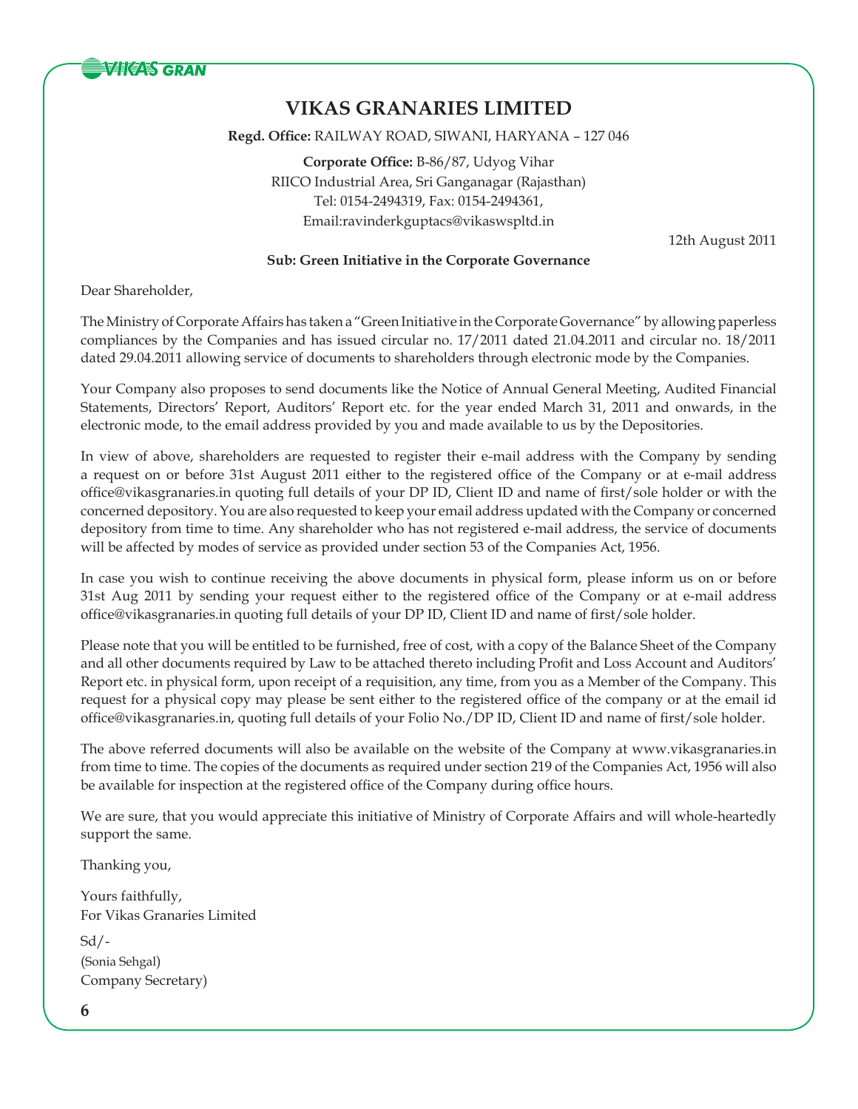

**Regd. Office:** RAILWAY ROAD, SIWANI, HARYANA – 127 046

**Corporate Office:** B-86/87, Udyog Vihar RIICO Industrial Area, Sri Ganganagar (Rajasthan) Tel: 0154-2494319, Fax: 0154-2494361, Email:ravinderkguptacs@vikaswspltd.in

12th August 2011

## **Sub: Green Initiative in the Corporate Governance**

Dear Shareholder,

The Ministry of Corporate Affairs has taken a "Green Initiative in the Corporate Governance" by allowing paperless compliances by the Companies and has issued circular no. 17/2011 dated 21.04.2011 and circular no. 18/2011 dated 29.04.2011 allowing service of documents to shareholders through electronic mode by the Companies.

Your Company also proposes to send documents like the Notice of Annual General Meeting, Audited Financial Statements, Directors' Report, Auditors' Report etc. for the year ended March 31, 2011 and onwards, in the electronic mode, to the email address provided by you and made available to us by the Depositories.

In view of above, shareholders are requested to register their e-mail address with the Company by sending a request on or before 31st August 2011 either to the registered office of the Company or at e-mail address office@vikasgranaries.in quoting full details of your DP ID, Client ID and name of first/sole holder or with the concerned depository. You are also requested to keep your email address updated with the Company or concerned depository from time to time. Any shareholder who has not registered e-mail address, the service of documents will be affected by modes of service as provided under section 53 of the Companies Act, 1956.

In case you wish to continue receiving the above documents in physical form, please inform us on or before 31st Aug 2011 by sending your request either to the registered office of the Company or at e-mail address office@vikasgranaries.in quoting full details of your DP ID, Client ID and name of first/sole holder.

Please note that you will be entitled to be furnished, free of cost, with a copy of the Balance Sheet of the Company and all other documents required by Law to be attached thereto including Profit and Loss Account and Auditors' Report etc. in physical form, upon receipt of a requisition, any time, from you as a Member of the Company. This request for a physical copy may please be sent either to the registered office of the company or at the email id office@vikasgranaries.in, quoting full details of your Folio No./DP ID, Client ID and name of first/sole holder.

The above referred documents will also be available on the website of the Company at www.vikasgranaries.in from time to time. The copies of the documents as required under section 219 of the Companies Act, 1956 will also be available for inspection at the registered office of the Company during office hours.

We are sure, that you would appreciate this initiative of Ministry of Corporate Affairs and will whole-heartedly support the same.

Thanking you,

Yours faithfully, For Vikas Granaries Limited  $Sd$  /-(Sonia Sehgal) Company Secretary)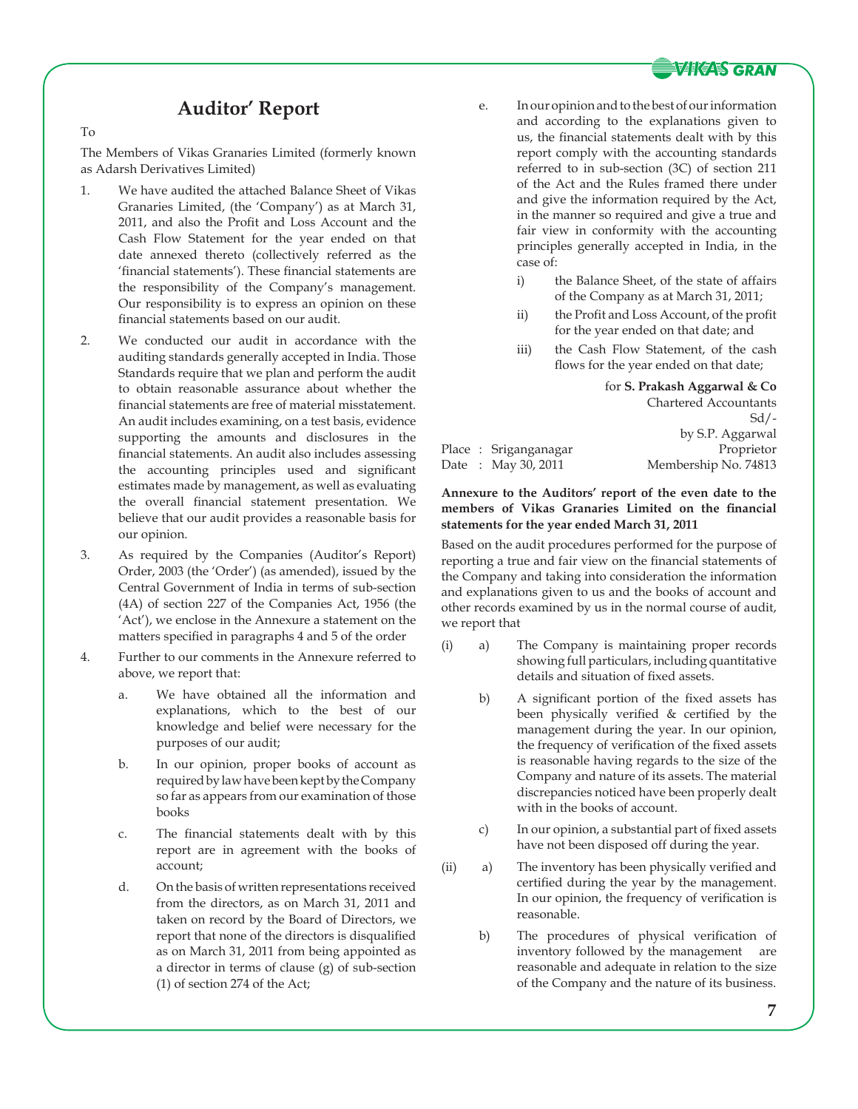

# **Auditor' Report**

To

The Members of Vikas Granaries Limited (formerly known as Adarsh Derivatives Limited)

- 1. We have audited the attached Balance Sheet of Vikas Granaries Limited, (the 'Company') as at March 31, 2011, and also the Profit and Loss Account and the Cash Flow Statement for the year ended on that date annexed thereto (collectively referred as the 'financial statements'). These financial statements are the responsibility of the Company's management. Our responsibility is to express an opinion on these financial statements based on our audit.
- 2. We conducted our audit in accordance with the auditing standards generally accepted in India. Those Standards require that we plan and perform the audit to obtain reasonable assurance about whether the financial statements are free of material misstatement. An audit includes examining, on a test basis, evidence supporting the amounts and disclosures in the financial statements. An audit also includes assessing the accounting principles used and significant estimates made by management, as well as evaluating the overall financial statement presentation. We believe that our audit provides a reasonable basis for our opinion.
- 3. As required by the Companies (Auditor's Report) Order, 2003 (the 'Order') (as amended), issued by the Central Government of India in terms of sub-section (4A) of section 227 of the Companies Act, 1956 (the 'Act'), we enclose in the Annexure a statement on the matters specified in paragraphs 4 and 5 of the order
- 4. Further to our comments in the Annexure referred to above, we report that:
	- a. We have obtained all the information and explanations, which to the best of our knowledge and belief were necessary for the purposes of our audit;
	- b. In our opinion, proper books of account as required by law have been kept by the Company so far as appears from our examination of those books
	- c. The financial statements dealt with by this report are in agreement with the books of account;
	- d. On the basis of written representations received from the directors, as on March 31, 2011 and taken on record by the Board of Directors, we report that none of the directors is disqualified as on March 31, 2011 from being appointed as a director in terms of clause (g) of sub-section (1) of section 274 of the Act;
- e. In our opinion and to the best of our information and according to the explanations given to us, the financial statements dealt with by this report comply with the accounting standards referred to in sub-section (3C) of section 211 of the Act and the Rules framed there under and give the information required by the Act, in the manner so required and give a true and fair view in conformity with the accounting principles generally accepted in India, in the case of:
	- i) the Balance Sheet, of the state of affairs of the Company as at March 31, 2011;
	- ii) the Profit and Loss Account, of the profit for the year ended on that date; and
	- iii) the Cash Flow Statement, of the cash flows for the year ended on that date;

for **S. Prakash Aggarwal & Co** Chartered Accountants  $Sd$  /by S.P. Aggarwal Place : Sriganganagar Proprietor Date : May 30, 2011 Membership No. 74813

### **Annexure to the Auditors' report of the even date to the members of Vikas Granaries Limited on the financial statements for the year ended March 31, 2011**

Based on the audit procedures performed for the purpose of reporting a true and fair view on the financial statements of the Company and taking into consideration the information and explanations given to us and the books of account and other records examined by us in the normal course of audit, we report that

- (i) a) The Company is maintaining proper records showing full particulars, including quantitative details and situation of fixed assets.
	- b) A significant portion of the fixed assets has been physically verified & certified by the management during the year. In our opinion, the frequency of verification of the fixed assets is reasonable having regards to the size of the Company and nature of its assets. The material discrepancies noticed have been properly dealt with in the books of account.
	- c) In our opinion, a substantial part of fixed assets have not been disposed off during the year.
- (ii) a) The inventory has been physically verified and certified during the year by the management. In our opinion, the frequency of verification is reasonable.
	- b) The procedures of physical verification of inventory followed by the management are reasonable and adequate in relation to the size of the Company and the nature of its business.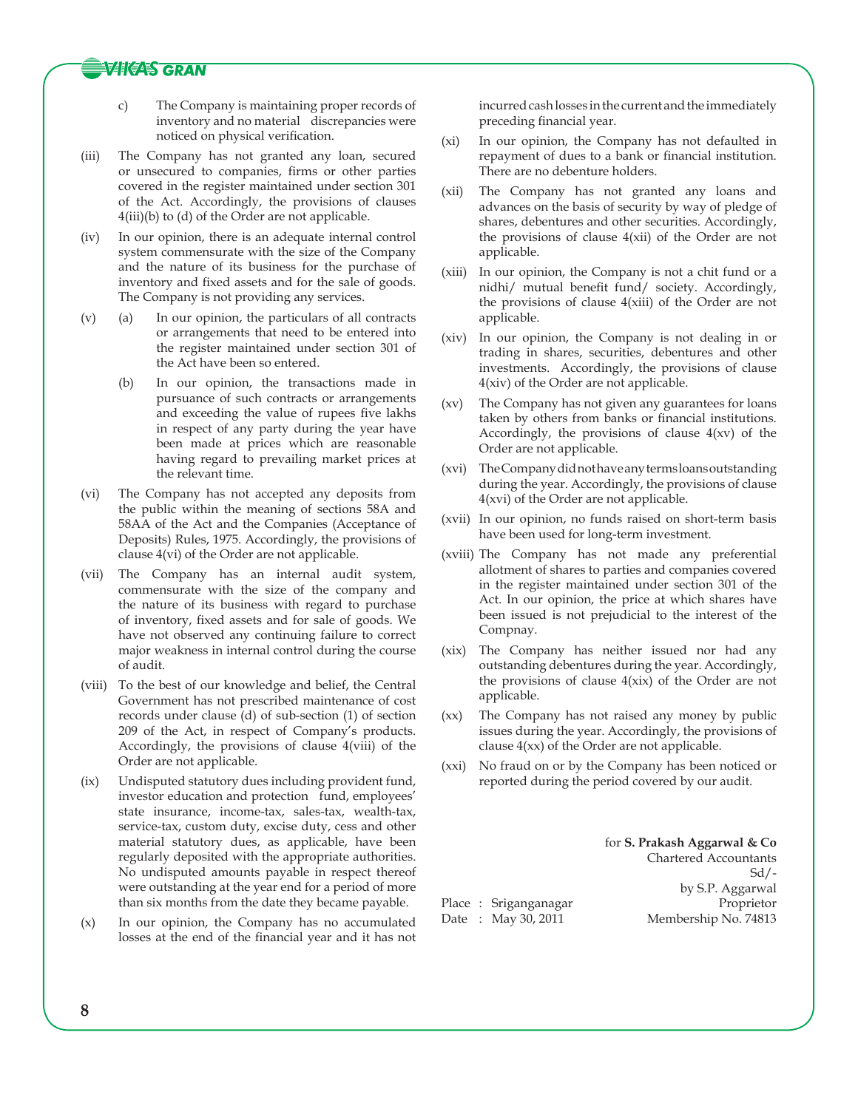## **VIKAS GRAN**

- c) The Company is maintaining proper records of inventory and no material discrepancies were noticed on physical verification.
- (iii) The Company has not granted any loan, secured or unsecured to companies, firms or other parties covered in the register maintained under section 301 of the Act. Accordingly, the provisions of clauses 4(iii)(b) to (d) of the Order are not applicable.
- (iv) In our opinion, there is an adequate internal control system commensurate with the size of the Company and the nature of its business for the purchase of inventory and fixed assets and for the sale of goods. The Company is not providing any services.
- (v) (a) In our opinion, the particulars of all contracts or arrangements that need to be entered into the register maintained under section 301 of the Act have been so entered.
	- (b) In our opinion, the transactions made in pursuance of such contracts or arrangements and exceeding the value of rupees five lakhs in respect of any party during the year have been made at prices which are reasonable having regard to prevailing market prices at the relevant time.
- (vi) The Company has not accepted any deposits from the public within the meaning of sections 58A and 58AA of the Act and the Companies (Acceptance of Deposits) Rules, 1975. Accordingly, the provisions of clause 4(vi) of the Order are not applicable.
- (vii) The Company has an internal audit system, commensurate with the size of the company and the nature of its business with regard to purchase of inventory, fixed assets and for sale of goods. We have not observed any continuing failure to correct major weakness in internal control during the course of audit.
- (viii) To the best of our knowledge and belief, the Central Government has not prescribed maintenance of cost records under clause (d) of sub-section (1) of section 209 of the Act, in respect of Company's products. Accordingly, the provisions of clause 4(viii) of the Order are not applicable.
- (ix) Undisputed statutory dues including provident fund, investor education and protection fund, employees' state insurance, income-tax, sales-tax, wealth-tax, service-tax, custom duty, excise duty, cess and other material statutory dues, as applicable, have been regularly deposited with the appropriate authorities. No undisputed amounts payable in respect thereof were outstanding at the year end for a period of more than six months from the date they became payable.
- (x) In our opinion, the Company has no accumulated losses at the end of the financial year and it has not

incurred cash losses in the current and the immediately preceding financial year.

- (xi) In our opinion, the Company has not defaulted in repayment of dues to a bank or financial institution. There are no debenture holders.
- (xii) The Company has not granted any loans and advances on the basis of security by way of pledge of shares, debentures and other securities. Accordingly, the provisions of clause 4(xii) of the Order are not applicable.
- (xiii) In our opinion, the Company is not a chit fund or a nidhi/ mutual benefit fund/ society. Accordingly, the provisions of clause 4(xiii) of the Order are not applicable.
- (xiv) In our opinion, the Company is not dealing in or trading in shares, securities, debentures and other investments. Accordingly, the provisions of clause 4(xiv) of the Order are not applicable.
- (xv) The Company has not given any guarantees for loans taken by others from banks or financial institutions. Accordingly, the provisions of clause  $4(xv)$  of the Order are not applicable.
- (xvi) The Company did not have any terms loans outstanding during the year. Accordingly, the provisions of clause 4(xvi) of the Order are not applicable.
- (xvii) In our opinion, no funds raised on short-term basis have been used for long-term investment.
- (xviii) The Company has not made any preferential allotment of shares to parties and companies covered in the register maintained under section 301 of the Act. In our opinion, the price at which shares have been issued is not prejudicial to the interest of the Compnay.
- (xix) The Company has neither issued nor had any outstanding debentures during the year. Accordingly, the provisions of clause 4(xix) of the Order are not applicable.
- (xx) The Company has not raised any money by public issues during the year. Accordingly, the provisions of clause 4(xx) of the Order are not applicable.
- (xxi) No fraud on or by the Company has been noticed or reported during the period covered by our audit.

for **S. Prakash Aggarwal & Co** Chartered Accountants  $Sd$  /by S.P. Aggarwal Place : Sriganganagar Proprietor Date : May 30, 2011 Membership No. 74813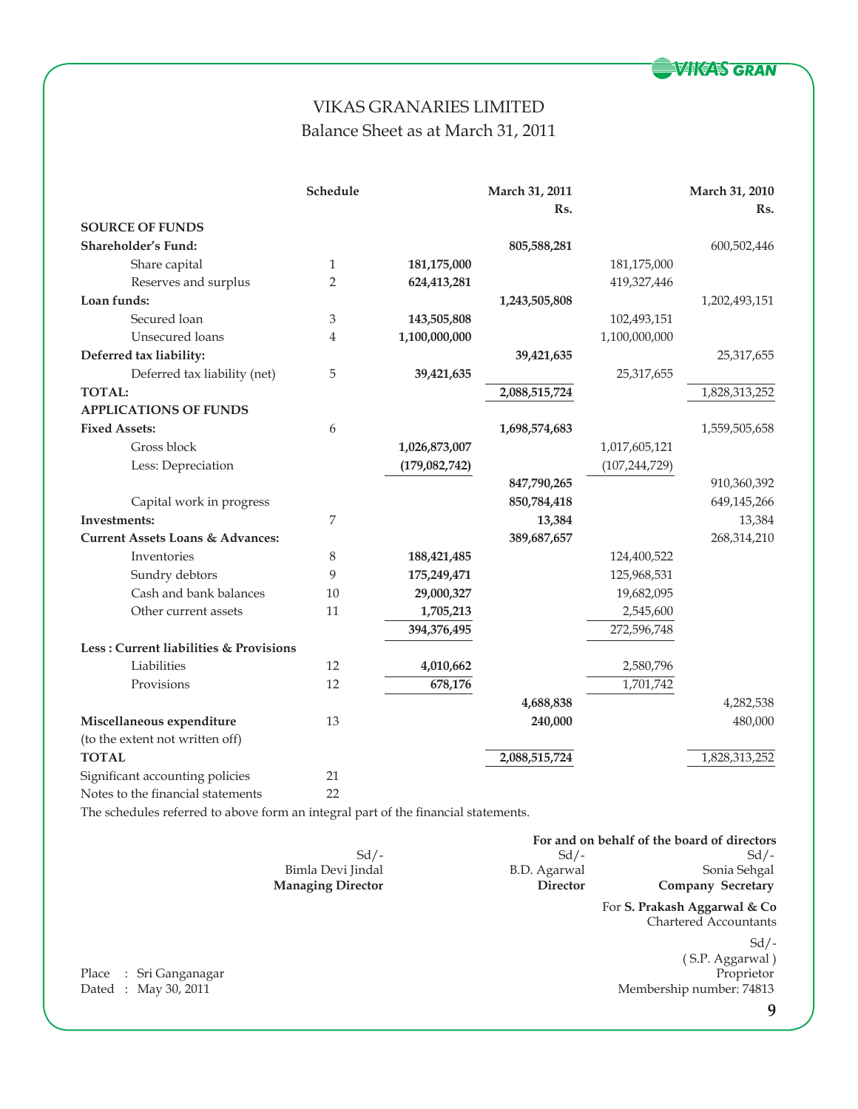

# VIKAS GRANARIES LIMITED Balance Sheet as at March 31, 2011

|                                             | Schedule                  |                 | March 31, 2011 |                 | March 31, 2010 |
|---------------------------------------------|---------------------------|-----------------|----------------|-----------------|----------------|
|                                             |                           |                 | Rs.            |                 | Rs.            |
| <b>SOURCE OF FUNDS</b>                      |                           |                 |                |                 |                |
| Shareholder's Fund:                         |                           |                 | 805,588,281    |                 | 600,502,446    |
| Share capital                               | $\mathbf{1}$              | 181,175,000     |                | 181,175,000     |                |
| Reserves and surplus                        | $\overline{2}$            | 624,413,281     |                | 419,327,446     |                |
| Loan funds:                                 |                           |                 | 1,243,505,808  |                 | 1,202,493,151  |
| Secured loan                                | $\ensuremath{\mathbf{3}}$ | 143,505,808     |                | 102,493,151     |                |
| Unsecured loans                             | $\overline{4}$            | 1,100,000,000   |                | 1,100,000,000   |                |
| Deferred tax liability:                     |                           |                 | 39,421,635     |                 | 25,317,655     |
| Deferred tax liability (net)                | 5                         | 39,421,635      |                | 25,317,655      |                |
| <b>TOTAL:</b>                               |                           |                 | 2,088,515,724  |                 | 1,828,313,252  |
| <b>APPLICATIONS OF FUNDS</b>                |                           |                 |                |                 |                |
| <b>Fixed Assets:</b>                        | 6                         |                 | 1,698,574,683  |                 | 1,559,505,658  |
| Gross block                                 |                           | 1,026,873,007   |                | 1,017,605,121   |                |
| Less: Depreciation                          |                           | (179, 082, 742) |                | (107, 244, 729) |                |
|                                             |                           |                 | 847,790,265    |                 | 910,360,392    |
| Capital work in progress                    |                           |                 | 850,784,418    |                 | 649,145,266    |
| Investments:                                | 7                         |                 | 13,384         |                 | 13,384         |
| <b>Current Assets Loans &amp; Advances:</b> |                           |                 | 389,687,657    |                 | 268,314,210    |
| Inventories                                 | 8                         | 188,421,485     |                | 124,400,522     |                |
| Sundry debtors                              | 9                         | 175,249,471     |                | 125,968,531     |                |
| Cash and bank balances                      | 10                        | 29,000,327      |                | 19,682,095      |                |
| Other current assets                        | 11                        | 1,705,213       |                | 2,545,600       |                |
|                                             |                           | 394,376,495     |                | 272,596,748     |                |
| Less: Current liabilities & Provisions      |                           |                 |                |                 |                |
| Liabilities                                 | 12                        | 4,010,662       |                | 2,580,796       |                |
| Provisions                                  | 12                        | 678,176         |                | 1,701,742       |                |
|                                             |                           |                 | 4,688,838      |                 | 4,282,538      |
| Miscellaneous expenditure                   | 13                        |                 | 240,000        |                 | 480,000        |
| (to the extent not written off)             |                           |                 |                |                 |                |
| <b>TOTAL</b>                                |                           |                 | 2,088,515,724  |                 | 1,828,313,252  |
| Significant accounting policies             | 21                        |                 |                |                 |                |
| Notes to the financial statements           | 22                        |                 |                |                 |                |

The schedules referred to above form an integral part of the financial statements.

|                          |                 | For and on behalf of the board of directors |
|--------------------------|-----------------|---------------------------------------------|
| $Sd/-$                   | $Sd/$ -         | $Sd/-$                                      |
| Bimla Devi Jindal        | B.D. Agarwal    | Sonia Sehgal                                |
| <b>Managing Director</b> | <b>Director</b> | Company Secretary                           |
|                          |                 | For S. Prakash Aggarwal & Co                |

Place : Sri Ganganagar<br>Dated : May 30, 2011

For **S. Prakash Aggarwal & Co** Chartered Accountants

Sd/- ( S.P. Aggarwal ) Membership number: 74813

**9**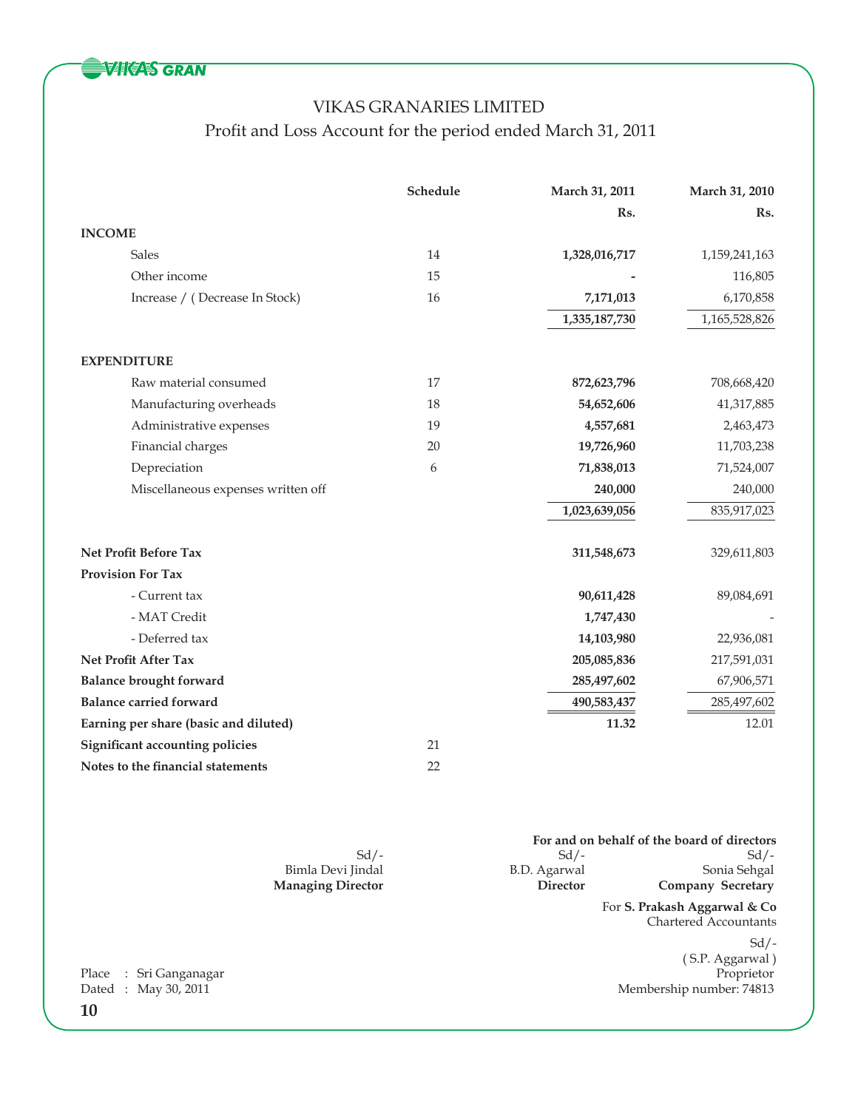

# VIKAS GRANARIES LIMITED Profit and Loss Account for the period ended March 31, 2011

|                                        | Schedule | March 31, 2011 | March 31, 2010 |
|----------------------------------------|----------|----------------|----------------|
|                                        |          | Rs.            | Rs.            |
| <b>INCOME</b>                          |          |                |                |
| Sales                                  | 14       | 1,328,016,717  | 1,159,241,163  |
| Other income                           | 15       |                | 116,805        |
| Increase / (Decrease In Stock)         | 16       | 7,171,013      | 6,170,858      |
|                                        |          | 1,335,187,730  | 1,165,528,826  |
| <b>EXPENDITURE</b>                     |          |                |                |
| Raw material consumed                  | 17       | 872,623,796    | 708,668,420    |
| Manufacturing overheads                | 18       | 54,652,606     | 41,317,885     |
| Administrative expenses                | 19       | 4,557,681      | 2,463,473      |
| Financial charges                      | 20       | 19,726,960     | 11,703,238     |
| Depreciation                           | 6        | 71,838,013     | 71,524,007     |
| Miscellaneous expenses written off     |          | 240,000        | 240,000        |
|                                        |          | 1,023,639,056  | 835,917,023    |
| Net Profit Before Tax                  |          | 311,548,673    | 329,611,803    |
| <b>Provision For Tax</b>               |          |                |                |
| - Current tax                          |          | 90,611,428     | 89,084,691     |
| - MAT Credit                           |          | 1,747,430      |                |
| - Deferred tax                         |          | 14,103,980     | 22,936,081     |
| Net Profit After Tax                   |          | 205,085,836    | 217,591,031    |
| <b>Balance brought forward</b>         |          | 285,497,602    | 67,906,571     |
| <b>Balance carried forward</b>         |          | 490,583,437    | 285,497,602    |
| Earning per share (basic and diluted)  |          | 11.32          | 12.01          |
| <b>Significant accounting policies</b> | 21       |                |                |
| Notes to the financial statements      | 22       |                |                |

|                          |              | For and on behalf of the board of directors |
|--------------------------|--------------|---------------------------------------------|
| $Sd/$ -                  | $Sd/$ -      | Sd/-                                        |
| Bimla Devi Jindal        | B.D. Agarwal | Sonia Sehgal                                |
| <b>Managing Director</b> | Director     | Company Secretary                           |

For **S. Prakash Aggarwal & Co** Chartered Accountants

 $Sd$  /-( S.P. Aggarwal ) Membership number: 74813

**10** Place : Sri Ganganagar<br>Dated : May 30, 2011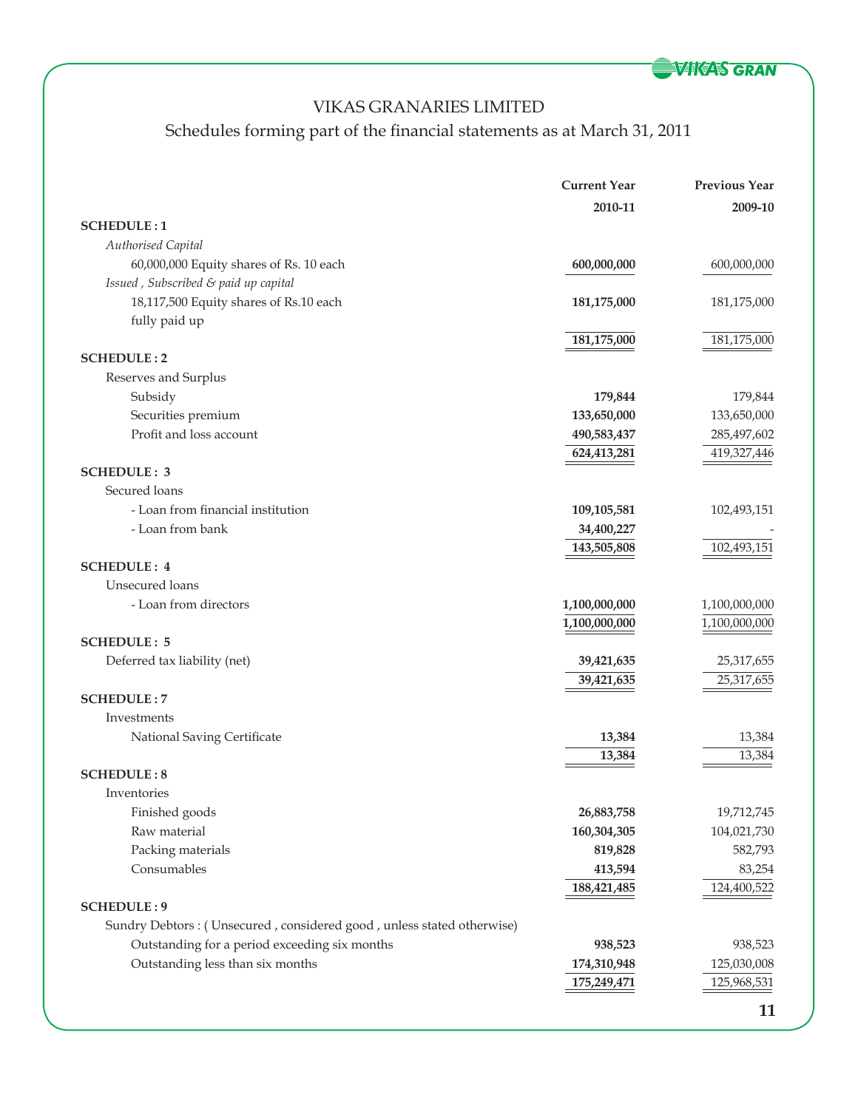

# Schedules forming part of the financial statements as at March 31, 2011

|                                                                       | <b>Current Year</b> | <b>Previous Year</b> |
|-----------------------------------------------------------------------|---------------------|----------------------|
|                                                                       | 2010-11             | 2009-10              |
| <b>SCHEDULE:1</b>                                                     |                     |                      |
| Authorised Capital                                                    |                     |                      |
| 60,000,000 Equity shares of Rs. 10 each                               | 600,000,000         | 600,000,000          |
| Issued, Subscribed & paid up capital                                  |                     |                      |
| 18,117,500 Equity shares of Rs.10 each                                | 181,175,000         | 181,175,000          |
| fully paid up                                                         |                     |                      |
|                                                                       | 181,175,000         | 181,175,000          |
| <b>SCHEDULE:2</b>                                                     |                     |                      |
| Reserves and Surplus                                                  |                     |                      |
| Subsidy                                                               | 179,844             | 179,844              |
| Securities premium                                                    | 133,650,000         | 133,650,000          |
| Profit and loss account                                               | 490,583,437         | 285,497,602          |
|                                                                       | 624,413,281         | 419,327,446          |
| <b>SCHEDULE: 3</b>                                                    |                     |                      |
| Secured loans                                                         |                     |                      |
| - Loan from financial institution                                     | 109,105,581         | 102,493,151          |
| - Loan from bank                                                      | 34,400,227          |                      |
|                                                                       | 143,505,808         | 102,493,151          |
| <b>SCHEDULE: 4</b>                                                    |                     |                      |
| Unsecured loans                                                       |                     |                      |
| - Loan from directors                                                 | 1,100,000,000       | 1,100,000,000        |
|                                                                       | 1,100,000,000       | 1,100,000,000        |
| <b>SCHEDULE: 5</b>                                                    |                     |                      |
| Deferred tax liability (net)                                          | 39,421,635          | 25,317,655           |
|                                                                       | 39,421,635          | 25,317,655           |
| <b>SCHEDULE:7</b>                                                     |                     |                      |
| Investments                                                           |                     |                      |
| National Saving Certificate                                           | 13,384              | 13,384               |
| <b>SCHEDULE:8</b>                                                     | 13,384              | 13,384               |
| Inventories                                                           |                     |                      |
| Finished goods                                                        | 26,883,758          | 19,712,745           |
| Raw material                                                          | 160,304,305         | 104,021,730          |
| Packing materials                                                     | 819,828             | 582,793              |
| Consumables                                                           | 413,594             | 83,254               |
|                                                                       | 188,421,485         | 124,400,522          |
| <b>SCHEDULE: 9</b>                                                    |                     |                      |
| Sundry Debtors: (Unsecured, considered good, unless stated otherwise) |                     |                      |
| Outstanding for a period exceeding six months                         | 938,523             | 938,523              |
| Outstanding less than six months                                      | 174,310,948         | 125,030,008          |
|                                                                       | 175,249,471         | 125,968,531          |
|                                                                       |                     |                      |
|                                                                       |                     | 11                   |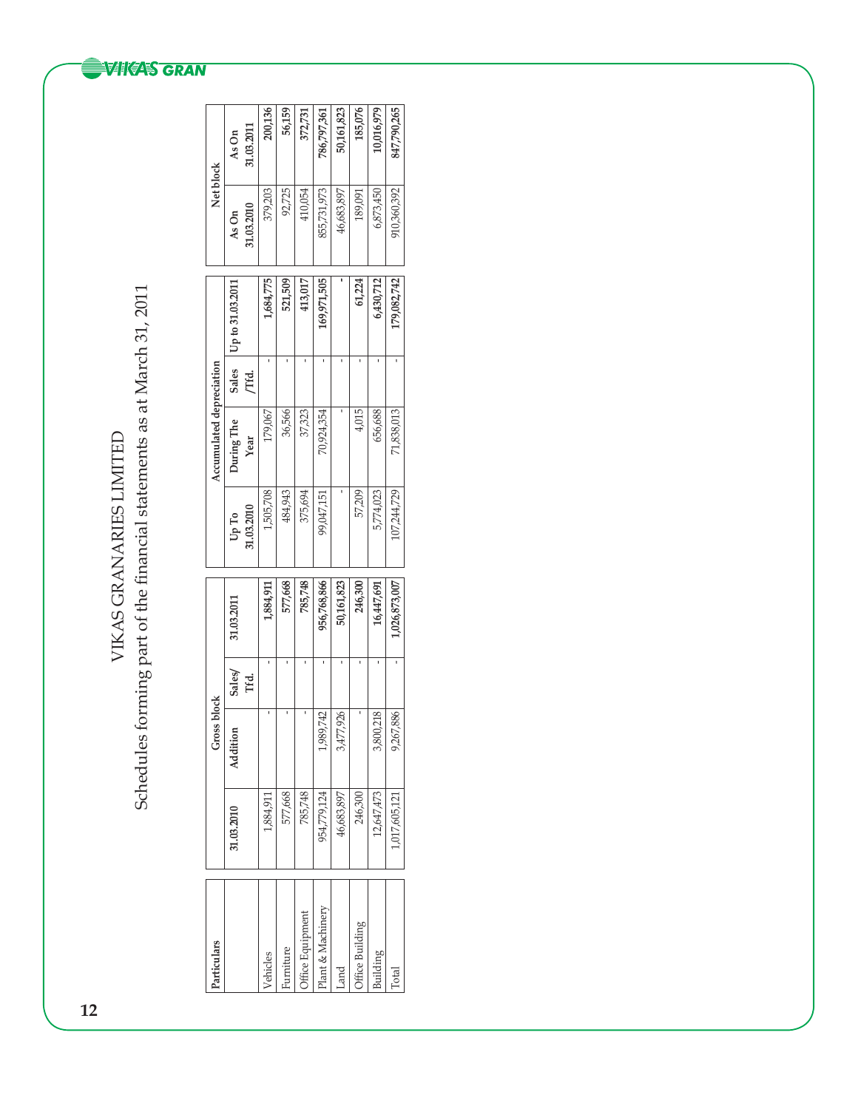Schedules forming part of the financial statements as at March 31, 2011 Schedules forming part of the financial statements as at March 31, 2011 VIKAS GRANARIES LIMITED VIKAS GRANARIES LIMITED

| Particulars       |               | <b>Gross block</b> |        |              |                | Accumulated depreciation |              |                  | Net block   |             |
|-------------------|---------------|--------------------|--------|--------------|----------------|--------------------------|--------------|------------------|-------------|-------------|
|                   | 31.03.2010    | Addition           | Sales/ | 31.03.2011   | $U_{\rm p}$ To | During The               | <b>Sales</b> | Up to 31.03.2011 | As On       | As On       |
|                   |               |                    | Tfd.   |              | 31.03.2010     | Year                     | Гfd.         |                  | 31.03.2010  | 31.03.2011  |
| Vehicles          | 1,884,911     |                    |        | 1,884,911    | 1,505,708      | 179,067                  |              | 1,684,775        | 379,203     | 200,136     |
| Furniture         | 577,668       |                    |        | 577,668      | 484,943        | 36,566                   |              | 521,509          | 92,725      | 56,159      |
| Office Equipment  | 785,748       |                    |        | 785,748      | 375,694        | 37,323                   |              | 413,017          | 410,054     | 372,731     |
| Plant & Machinery | 954,779,124   | 9,742<br>1,989     |        | 956,768,866  | 99,047,151     | 70,924,354               |              | 169,971,505      | 855,731,973 | 786,797,361 |
| Land              | 46,683,897    | ,926<br>3,477,     |        | 50,161,823   |                |                          |              |                  | 46,683,897  | 50,161,823  |
| Office Building   | 246,300       |                    |        | 246,300      | 57,209         | 4,015                    |              | 61,224           | 189,091     | 185,076     |
| Building          | 12,647,473    | 218<br>3,800       |        | 16,447,691   | 5,774,023      | 656,688                  |              | 6,430,712        | 6,873,450   | 0,016,979   |
| Total             | 1,017,605,121 | 886<br>9,267,      |        | ,026,873,007 | 107,244,729    | 71,838,013               |              | 179,082,742      | 910,360,392 | 847,790,265 |

# **WIKAS GRAN**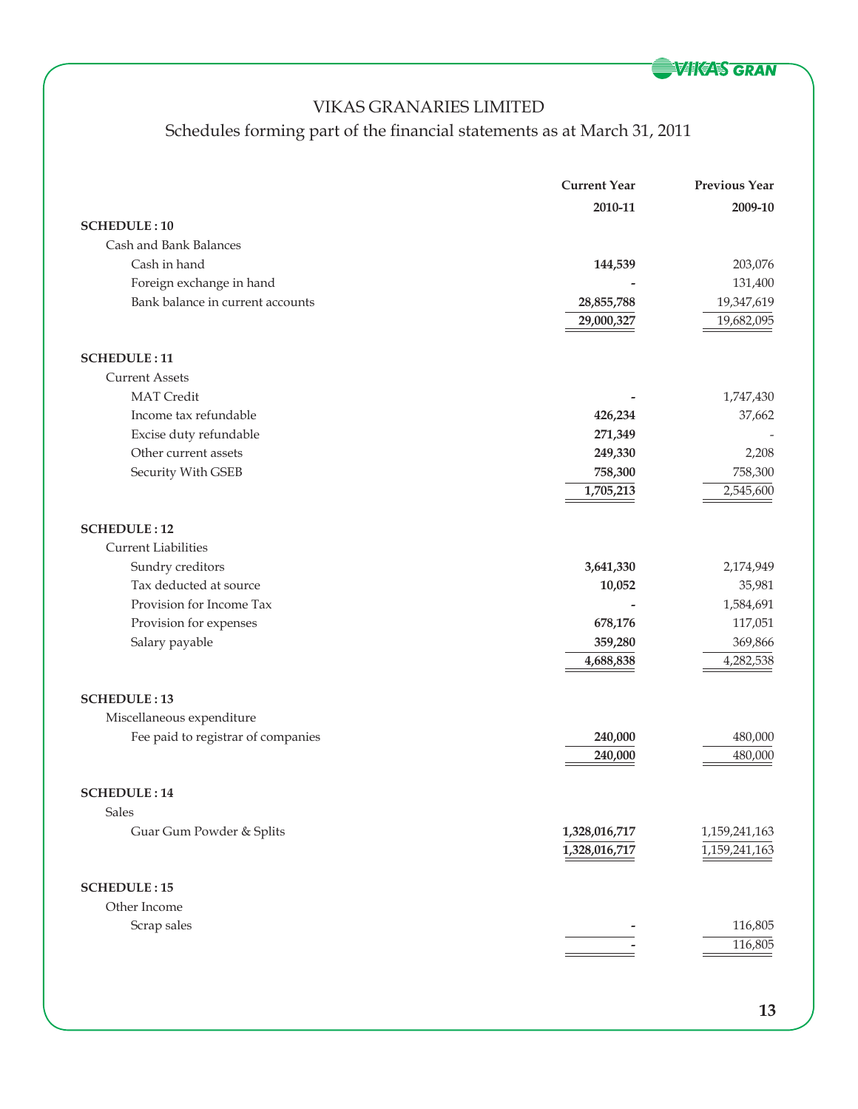**WIKAS GRAN** 

# VIKAS GRANARIES LIMITED

# Schedules forming part of the financial statements as at March 31, 2011

|                                    | <b>Current Year</b> | <b>Previous Year</b> |
|------------------------------------|---------------------|----------------------|
|                                    | 2010-11             | 2009-10              |
| <b>SCHEDULE: 10</b>                |                     |                      |
| Cash and Bank Balances             |                     |                      |
| Cash in hand                       | 144,539             | 203,076              |
| Foreign exchange in hand           |                     | 131,400              |
| Bank balance in current accounts   | 28,855,788          | 19,347,619           |
|                                    | 29,000,327          | 19,682,095           |
|                                    |                     |                      |
| <b>SCHEDULE: 11</b>                |                     |                      |
| <b>Current Assets</b>              |                     |                      |
| <b>MAT</b> Credit                  |                     | 1,747,430            |
| Income tax refundable              | 426,234             | 37,662               |
| Excise duty refundable             | 271,349             |                      |
| Other current assets               | 249,330             | 2,208                |
| Security With GSEB                 | 758,300             | 758,300              |
|                                    | 1,705,213           | 2,545,600            |
| <b>SCHEDULE: 12</b>                |                     |                      |
| <b>Current Liabilities</b>         |                     |                      |
| Sundry creditors                   | 3,641,330           | 2,174,949            |
| Tax deducted at source             | 10,052              | 35,981               |
| Provision for Income Tax           |                     | 1,584,691            |
| Provision for expenses             | 678,176             | 117,051              |
| Salary payable                     | 359,280             | 369,866              |
|                                    | 4,688,838           | 4,282,538            |
|                                    |                     |                      |
| <b>SCHEDULE: 13</b>                |                     |                      |
| Miscellaneous expenditure          |                     |                      |
| Fee paid to registrar of companies | 240,000             | 480,000              |
|                                    | 240,000             | 480,000              |
| <b>SCHEDULE: 14</b>                |                     |                      |
| Sales                              |                     |                      |
|                                    |                     |                      |
| Guar Gum Powder & Splits           | 1,328,016,717       | 1,159,241,163        |
|                                    | 1,328,016,717       | 1,159,241,163        |
| <b>SCHEDULE: 15</b>                |                     |                      |
| Other Income                       |                     |                      |
| Scrap sales                        |                     | 116,805              |
|                                    |                     | 116,805              |
|                                    |                     |                      |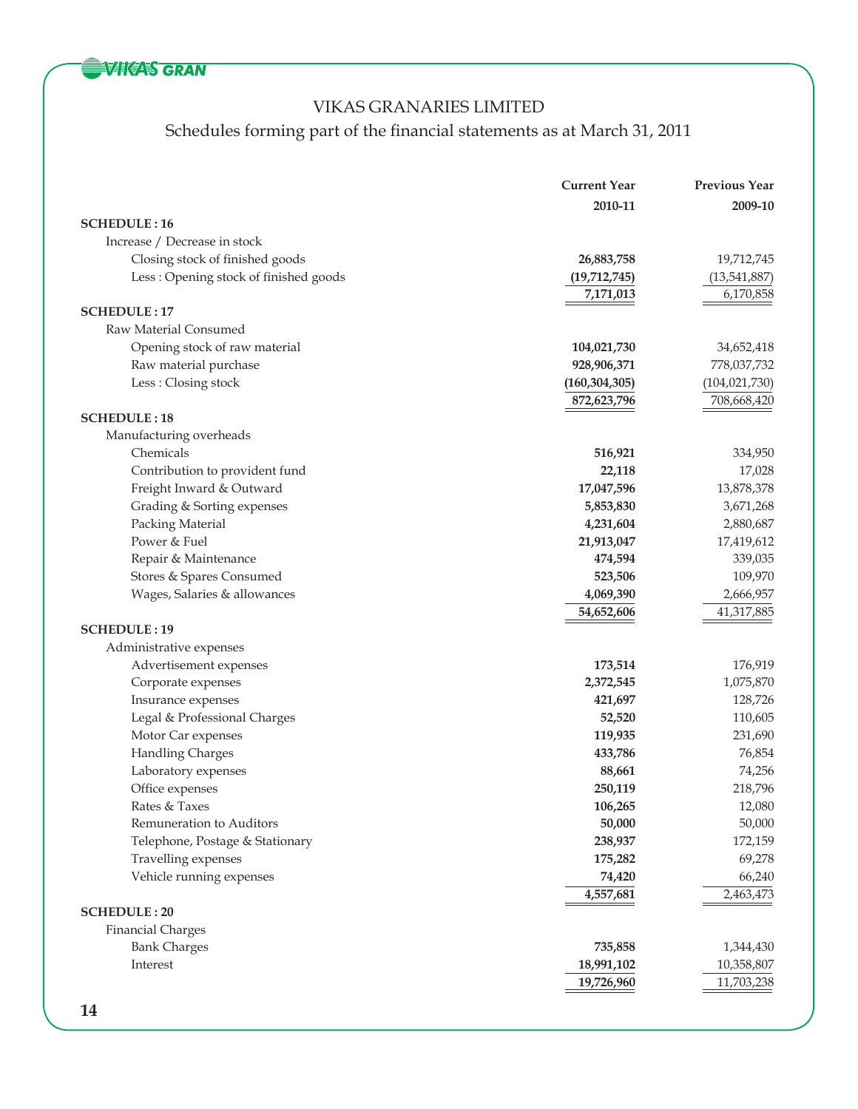**WIKAS GRAN** 

## VIKAS GRANARIES LIMITED

Schedules forming part of the financial statements as at March 31, 2011

|                                       | <b>Current Year</b> | <b>Previous Year</b> |
|---------------------------------------|---------------------|----------------------|
|                                       | 2010-11             | 2009-10              |
| <b>SCHEDULE: 16</b>                   |                     |                      |
| Increase / Decrease in stock          |                     |                      |
| Closing stock of finished goods       | 26,883,758          | 19,712,745           |
| Less: Opening stock of finished goods | (19,712,745)        | (13,541,887)         |
|                                       | 7,171,013           | 6,170,858            |
| <b>SCHEDULE: 17</b>                   |                     |                      |
| Raw Material Consumed                 |                     |                      |
| Opening stock of raw material         | 104,021,730         | 34,652,418           |
| Raw material purchase                 | 928,906,371         | 778,037,732          |
| Less: Closing stock                   | (160, 304, 305)     | (104, 021, 730)      |
|                                       | 872,623,796         | 708,668,420          |
| <b>SCHEDULE: 18</b>                   |                     |                      |
| Manufacturing overheads               |                     |                      |
| Chemicals                             | 516,921             | 334,950              |
| Contribution to provident fund        | 22,118              | 17,028               |
| Freight Inward & Outward              | 17,047,596          | 13,878,378           |
| Grading & Sorting expenses            | 5,853,830           | 3,671,268            |
| Packing Material                      | 4,231,604           | 2,880,687            |
| Power & Fuel                          | 21,913,047          | 17,419,612           |
| Repair & Maintenance                  | 474,594             | 339,035              |
| Stores & Spares Consumed              | 523,506             | 109,970              |
| Wages, Salaries & allowances          | 4,069,390           | 2,666,957            |
|                                       | 54,652,606          | 41,317,885           |
| <b>SCHEDULE: 19</b>                   |                     |                      |
| Administrative expenses               |                     |                      |
| Advertisement expenses                | 173,514             | 176,919              |
| Corporate expenses                    | 2,372,545           | 1,075,870            |
| Insurance expenses                    | 421,697             | 128,726              |
| Legal & Professional Charges          | 52,520              | 110,605              |
| Motor Car expenses                    | 119,935             | 231,690              |
| <b>Handling Charges</b>               | 433,786             | 76,854               |
| Laboratory expenses                   | 88,661              | 74,256               |
| Office expenses                       | 250,119             | 218,796              |
| Rates & Taxes                         | 106,265             | 12,080               |
| Remuneration to Auditors              | 50,000              | 50,000               |
| Telephone, Postage & Stationary       | 238,937             | 172,159              |
| Travelling expenses                   | 175,282             | 69,278               |
| Vehicle running expenses              | 74,420              | 66,240               |
|                                       | 4,557,681           | 2,463,473            |
| <b>SCHEDULE: 20</b>                   |                     |                      |
| <b>Financial Charges</b>              |                     |                      |
| <b>Bank Charges</b>                   | 735,858             | 1,344,430            |
| Interest                              | 18,991,102          | 10,358,807           |
|                                       | 19,726,960          | 11,703,238           |
|                                       |                     |                      |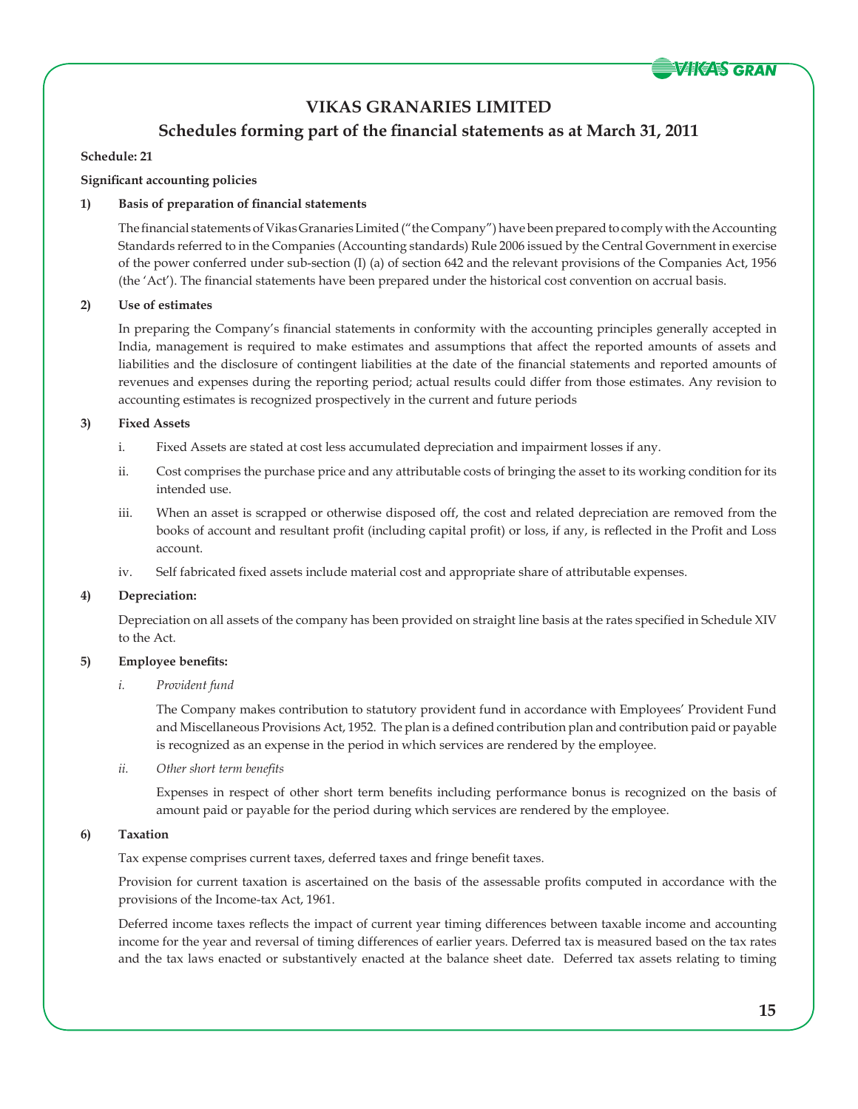

## **Schedules forming part of the financial statements as at March 31, 2011**

### **Schedule: 21**

### **Significant accounting policies**

## **1) Basis of preparation of financial statements**

 The financial statements of Vikas Granaries Limited ("the Company") have been prepared to comply with the Accounting Standards referred to in the Companies (Accounting standards) Rule 2006 issued by the Central Government in exercise of the power conferred under sub-section (I) (a) of section 642 and the relevant provisions of the Companies Act, 1956 (the 'Act'). The financial statements have been prepared under the historical cost convention on accrual basis.

### **2) Use of estimates**

 In preparing the Company's financial statements in conformity with the accounting principles generally accepted in India, management is required to make estimates and assumptions that affect the reported amounts of assets and liabilities and the disclosure of contingent liabilities at the date of the financial statements and reported amounts of revenues and expenses during the reporting period; actual results could differ from those estimates. Any revision to accounting estimates is recognized prospectively in the current and future periods

### **3) Fixed Assets**

- i. Fixed Assets are stated at cost less accumulated depreciation and impairment losses if any.
- ii. Cost comprises the purchase price and any attributable costs of bringing the asset to its working condition for its intended use.
- iii. When an asset is scrapped or otherwise disposed off, the cost and related depreciation are removed from the books of account and resultant profit (including capital profit) or loss, if any, is reflected in the Profit and Loss account.
- iv. Self fabricated fixed assets include material cost and appropriate share of attributable expenses.

### **4) Depreciation:**

 Depreciation on all assets of the company has been provided on straight line basis at the rates specified in Schedule XIV to the Act.

## **5) Employee benefits:**

### *i. Provident fund*

 The Company makes contribution to statutory provident fund in accordance with Employees' Provident Fund and Miscellaneous Provisions Act, 1952. The plan is a defined contribution plan and contribution paid or payable is recognized as an expense in the period in which services are rendered by the employee.

*ii. Other short term benefits*

 Expenses in respect of other short term benefits including performance bonus is recognized on the basis of amount paid or payable for the period during which services are rendered by the employee.

### **6) Taxation**

Tax expense comprises current taxes, deferred taxes and fringe benefit taxes.

 Provision for current taxation is ascertained on the basis of the assessable profits computed in accordance with the provisions of the Income-tax Act, 1961.

 Deferred income taxes reflects the impact of current year timing differences between taxable income and accounting income for the year and reversal of timing differences of earlier years. Deferred tax is measured based on the tax rates and the tax laws enacted or substantively enacted at the balance sheet date. Deferred tax assets relating to timing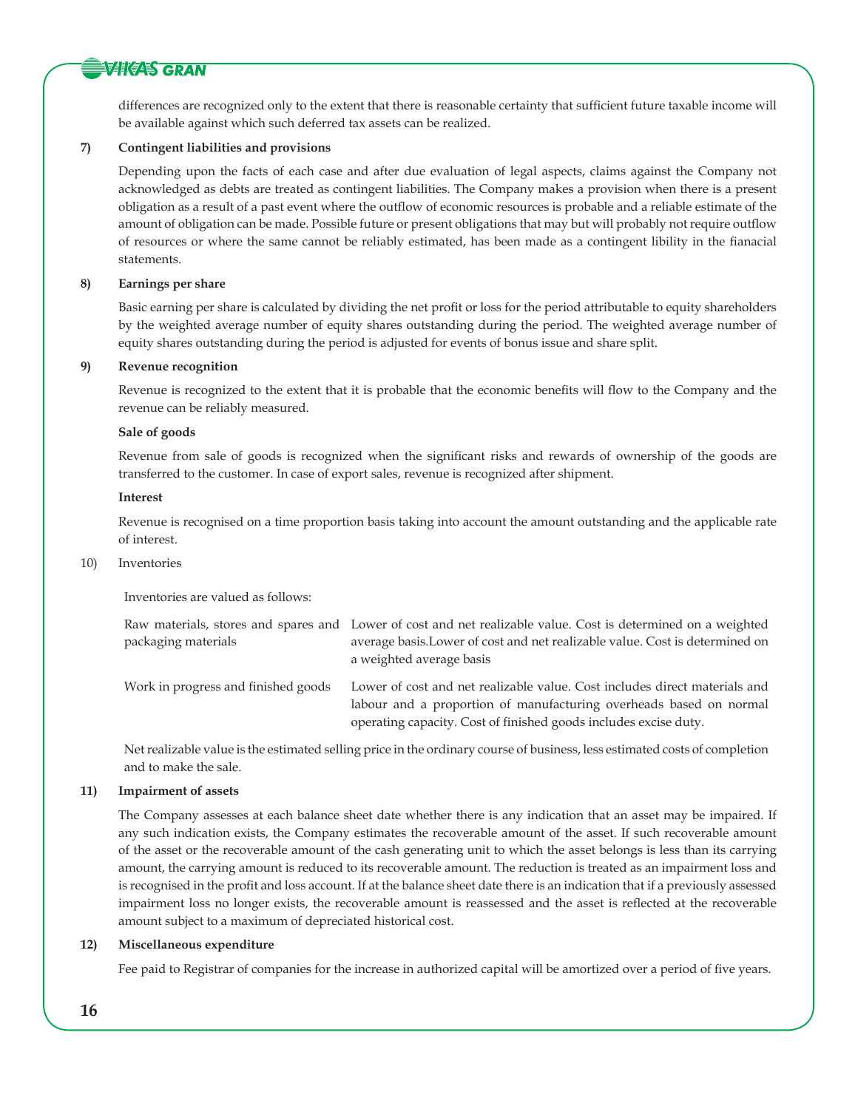## **VIKAS GRAN**

differences are recognized only to the extent that there is reasonable certainty that sufficient future taxable income will be available against which such deferred tax assets can be realized.

### **7) Contingent liabilities and provisions**

 Depending upon the facts of each case and after due evaluation of legal aspects, claims against the Company not acknowledged as debts are treated as contingent liabilities. The Company makes a provision when there is a present obligation as a result of a past event where the outflow of economic resources is probable and a reliable estimate of the amount of obligation can be made. Possible future or present obligations that may but will probably not require outflow of resources or where the same cannot be reliably estimated, has been made as a contingent libility in the fianacial statements.

### **8) Earnings per share**

 Basic earning per share is calculated by dividing the net profit or loss for the period attributable to equity shareholders by the weighted average number of equity shares outstanding during the period. The weighted average number of equity shares outstanding during the period is adjusted for events of bonus issue and share split.

### **9) Revenue recognition**

 Revenue is recognized to the extent that it is probable that the economic benefits will flow to the Company and the revenue can be reliably measured.

### **Sale of goods**

 Revenue from sale of goods is recognized when the significant risks and rewards of ownership of the goods are transferred to the customer. In case of export sales, revenue is recognized after shipment.

### **Interest**

 Revenue is recognised on a time proportion basis taking into account the amount outstanding and the applicable rate of interest.

### 10) Inventories

Inventories are valued as follows:

| packaging materials                 | Raw materials, stores and spares and Lower of cost and net realizable value. Cost is determined on a weighted<br>average basis. Lower of cost and net realizable value. Cost is determined on<br>a weighted average basis |
|-------------------------------------|---------------------------------------------------------------------------------------------------------------------------------------------------------------------------------------------------------------------------|
| Work in progress and finished goods | Lower of cost and net realizable value. Cost includes direct materials and<br>labour and a proportion of manufacturing overheads based on normal<br>operating capacity. Cost of finished goods includes excise duty.      |

Net realizable value is the estimated selling price in the ordinary course of business, less estimated costs of completion and to make the sale.

### **11) Impairment of assets**

 The Company assesses at each balance sheet date whether there is any indication that an asset may be impaired. If any such indication exists, the Company estimates the recoverable amount of the asset. If such recoverable amount of the asset or the recoverable amount of the cash generating unit to which the asset belongs is less than its carrying amount, the carrying amount is reduced to its recoverable amount. The reduction is treated as an impairment loss and is recognised in the profit and loss account. If at the balance sheet date there is an indication that if a previously assessed impairment loss no longer exists, the recoverable amount is reassessed and the asset is reflected at the recoverable amount subject to a maximum of depreciated historical cost.

### **12) Miscellaneous expenditure**

Fee paid to Registrar of companies for the increase in authorized capital will be amortized over a period of five years.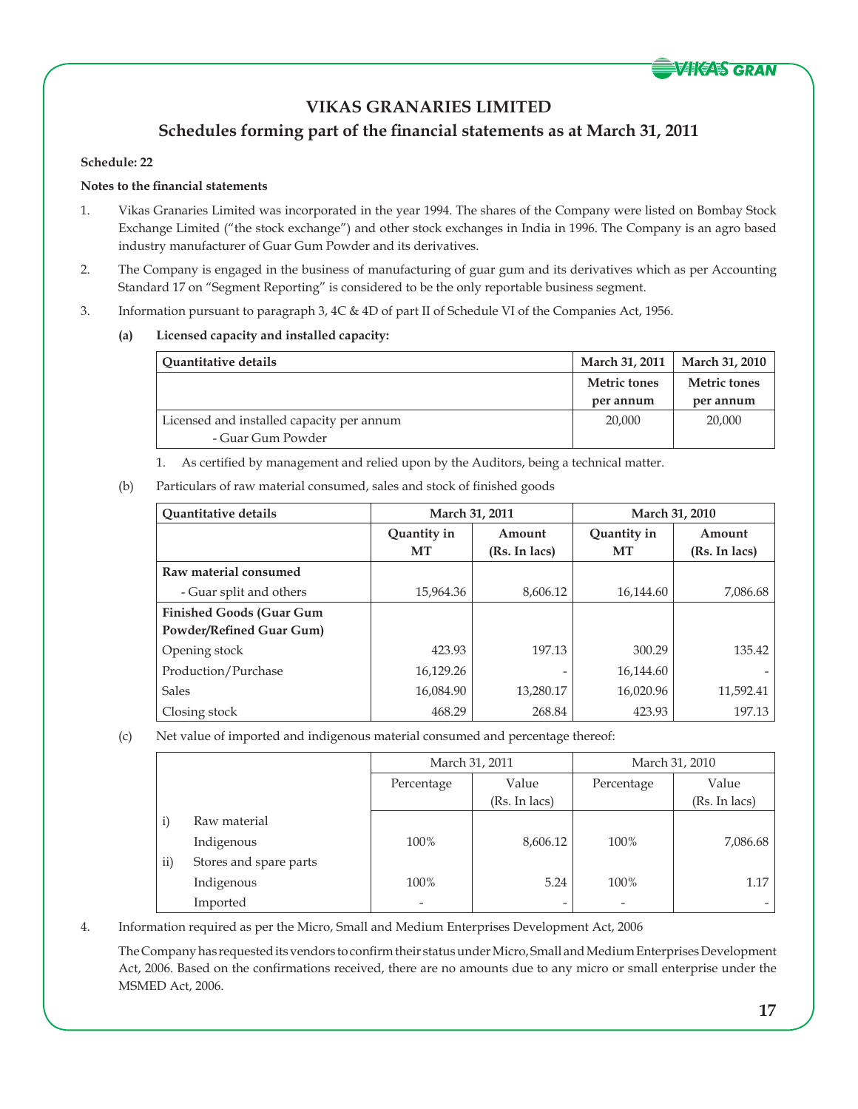

## **Schedules forming part of the financial statements as at March 31, 2011**

### **Schedule: 22**

## **Notes to the financial statements**

- 1. Vikas Granaries Limited was incorporated in the year 1994. The shares of the Company were listed on Bombay Stock Exchange Limited ("the stock exchange") and other stock exchanges in India in 1996. The Company is an agro based industry manufacturer of Guar Gum Powder and its derivatives.
- 2. The Company is engaged in the business of manufacturing of guar gum and its derivatives which as per Accounting Standard 17 on "Segment Reporting" is considered to be the only reportable business segment.
- 3. Information pursuant to paragraph 3, 4C & 4D of part II of Schedule VI of the Companies Act, 1956.

## **(a) Licensed capacity and installed capacity:**

| <b>Ouantitative details</b>               | March 31, 2011      | <b>March 31, 2010</b> |
|-------------------------------------------|---------------------|-----------------------|
|                                           | <b>Metric tones</b> | <b>Metric tones</b>   |
|                                           | per annum           | per annum             |
| Licensed and installed capacity per annum | 20,000              | 20,000                |
| - Guar Gum Powder                         |                     |                       |

1. As certified by management and relied upon by the Auditors, being a technical matter.

## (b) Particulars of raw material consumed, sales and stock of finished goods

| Quantitative details                                        | March 31, 2011    |                         | March 31, 2010    |                         |
|-------------------------------------------------------------|-------------------|-------------------------|-------------------|-------------------------|
|                                                             | Quantity in<br>MT | Amount<br>(Rs. In lacs) | Quantity in<br>MT | Amount<br>(Rs. In lacs) |
| Raw material consumed                                       |                   |                         |                   |                         |
| - Guar split and others                                     | 15,964.36         | 8,606.12                | 16,144.60         | 7,086.68                |
| <b>Finished Goods (Guar Gum</b><br>Powder/Refined Guar Gum) |                   |                         |                   |                         |
| Opening stock                                               | 423.93            | 197.13                  | 300.29            | 135.42                  |
| Production/Purchase                                         | 16,129.26         |                         | 16,144.60         |                         |
| <b>Sales</b>                                                | 16,084.90         | 13,280.17               | 16,020.96         | 11,592.41               |
| Closing stock                                               | 468.29            | 268.84                  | 423.93            | 197.13                  |

## (c) Net value of imported and indigenous material consumed and percentage thereof:

|               |                        | March 31, 2011           |               | March 31, 2010           |               |
|---------------|------------------------|--------------------------|---------------|--------------------------|---------------|
|               |                        | Percentage               | Value         | Percentage               | Value         |
|               |                        |                          | (Rs. In lacs) |                          | (Rs. In lacs) |
| $\mathbf{i})$ | Raw material           |                          |               |                          |               |
|               | Indigenous             | 100%                     | 8,606.12      | 100%                     | 7,086.68      |
| $\rm ii)$     | Stores and spare parts |                          |               |                          |               |
|               | Indigenous             | 100%                     | 5.24          | 100%                     | 1.17          |
|               | Imported               | $\overline{\phantom{0}}$ | -             | $\overline{\phantom{a}}$ |               |

4. Information required as per the Micro, Small and Medium Enterprises Development Act, 2006

 The Company has requested its vendors to confirm their status under Micro, Small and Medium Enterprises Development Act, 2006. Based on the confirmations received, there are no amounts due to any micro or small enterprise under the MSMED Act, 2006.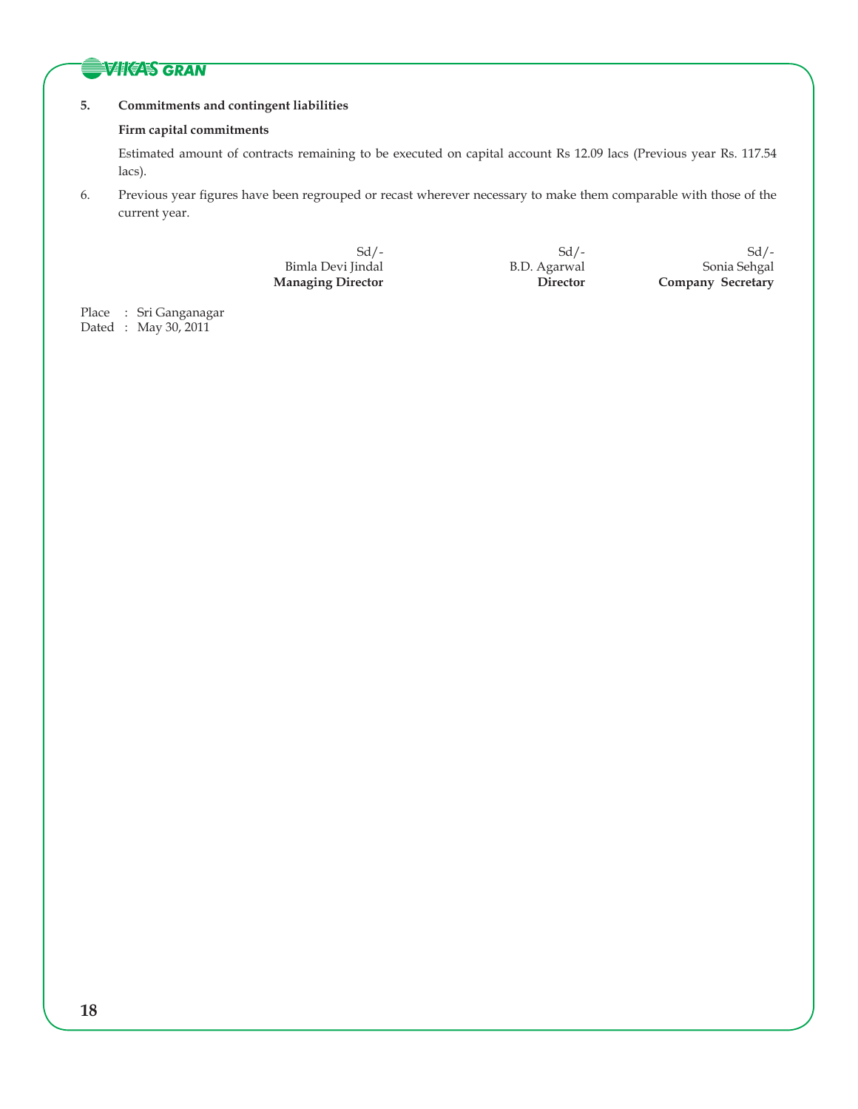## **SVIKAS GRAN**

## **5. Commitments and contingent liabilities**

### **Firm capital commitments**

 Estimated amount of contracts remaining to be executed on capital account Rs 12.09 lacs (Previous year Rs. 117.54 lacs).

6. Previous year figures have been regrouped or recast wherever necessary to make them comparable with those of the current year.

 $Sd$ - Sd/- Sd/- Sd/- Sd/-Bimla Devi Jindal B.D. Agarwal Sonia Sehgal Sonia Sehgal Managing Director Director Company Secretary **Company Secretary** 

Place : Sri Ganganagar Dated : May 30, 2011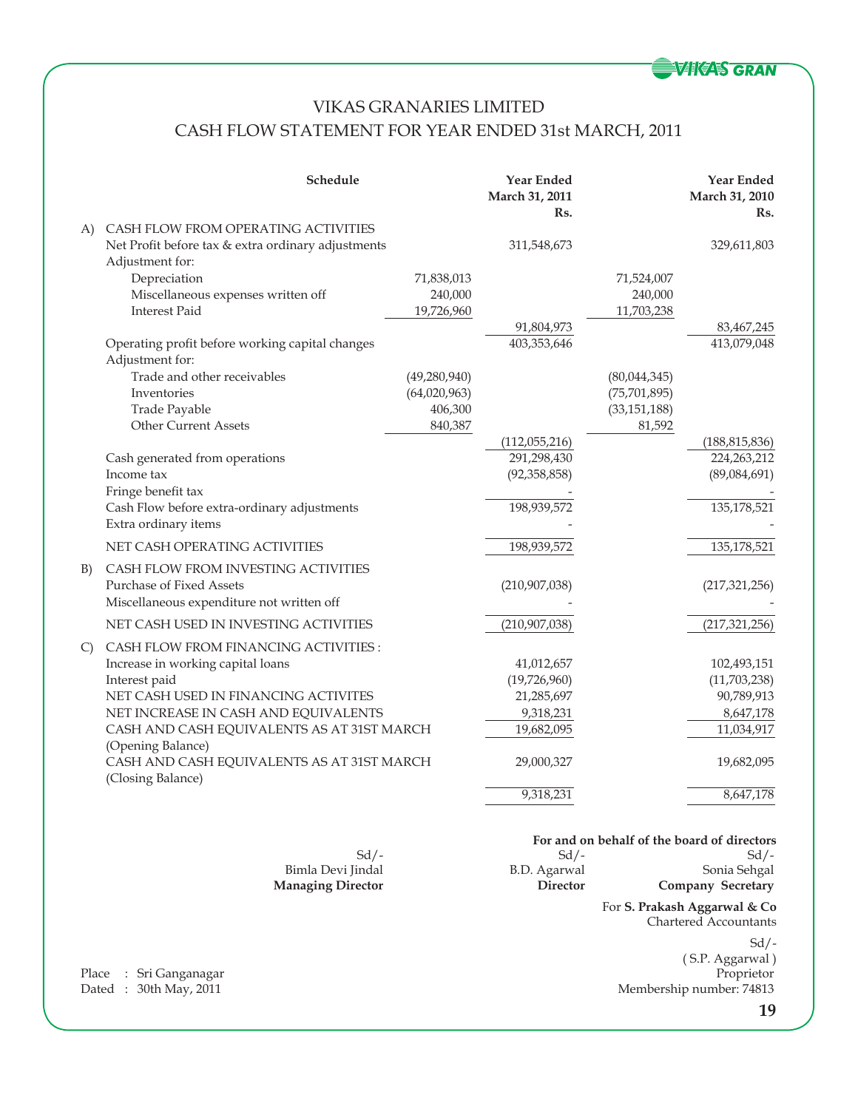

## VIKAS GRANARIES LIMITED CASH FLOW STATEMENT FOR YEAR ENDED 31st MARCH, 2011

|               | Schedule                                                                     |                | <b>Year Ended</b><br>March 31, 2011<br>Rs. |                | <b>Year Ended</b><br>March 31, 2010<br>Rs.  |
|---------------|------------------------------------------------------------------------------|----------------|--------------------------------------------|----------------|---------------------------------------------|
| A)            | CASH FLOW FROM OPERATING ACTIVITIES                                          |                |                                            |                |                                             |
|               | Net Profit before tax & extra ordinary adjustments<br>Adjustment for:        |                | 311,548,673                                |                | 329,611,803                                 |
|               | Depreciation                                                                 | 71,838,013     |                                            | 71,524,007     |                                             |
|               | Miscellaneous expenses written off                                           | 240,000        |                                            | 240,000        |                                             |
|               | <b>Interest Paid</b>                                                         | 19,726,960     |                                            | 11,703,238     |                                             |
|               |                                                                              |                | 91,804,973                                 |                | 83,467,245                                  |
|               | Operating profit before working capital changes<br>Adjustment for:           |                | 403,353,646                                |                | 413,079,048                                 |
|               | Trade and other receivables                                                  | (49, 280, 940) |                                            | (80,044,345)   |                                             |
|               | Inventories                                                                  | (64,020,963)   |                                            | (75, 701, 895) |                                             |
|               | Trade Payable                                                                | 406,300        |                                            | (33, 151, 188) |                                             |
|               | <b>Other Current Assets</b>                                                  | 840,387        |                                            | 81,592         |                                             |
|               |                                                                              |                | (112,055,216)                              |                | (188, 815, 836)                             |
|               | Cash generated from operations                                               |                | 291,298,430                                |                | 224, 263, 212                               |
|               | Income tax                                                                   |                | (92, 358, 858)                             |                | (89,084,691)                                |
|               | Fringe benefit tax                                                           |                |                                            |                |                                             |
|               | Cash Flow before extra-ordinary adjustments                                  |                | 198,939,572                                |                | 135,178,521                                 |
|               | Extra ordinary items                                                         |                |                                            |                |                                             |
|               | NET CASH OPERATING ACTIVITIES                                                |                | 198,939,572                                |                | 135,178,521                                 |
| B)            | CASH FLOW FROM INVESTING ACTIVITIES                                          |                |                                            |                |                                             |
|               | Purchase of Fixed Assets                                                     |                | (210, 907, 038)                            |                | (217, 321, 256)                             |
|               | Miscellaneous expenditure not written off                                    |                |                                            |                |                                             |
|               | NET CASH USED IN INVESTING ACTIVITIES                                        |                | (210, 907, 038)                            |                | (217, 321, 256)                             |
|               |                                                                              |                |                                            |                |                                             |
| $\mathcal{C}$ | <b>CASH FLOW FROM FINANCING ACTIVITIES:</b>                                  |                |                                            |                |                                             |
|               | Increase in working capital loans                                            |                | 41,012,657                                 |                | 102,493,151                                 |
|               | Interest paid                                                                |                | (19,726,960)                               |                | (11,703,238)                                |
|               | NET CASH USED IN FINANCING ACTIVITES<br>NET INCREASE IN CASH AND EQUIVALENTS |                | 21,285,697<br>9,318,231                    |                | 90,789,913<br>8,647,178                     |
|               | CASH AND CASH EQUIVALENTS AS AT 31ST MARCH                                   |                | 19,682,095                                 |                | 11,034,917                                  |
|               | (Opening Balance)                                                            |                |                                            |                |                                             |
|               | CASH AND CASH EQUIVALENTS AS AT 31ST MARCH<br>(Closing Balance)              |                | 29,000,327                                 |                | 19,682,095                                  |
|               |                                                                              |                | 9,318,231                                  |                | 8,647,178                                   |
|               |                                                                              |                |                                            |                |                                             |
|               |                                                                              |                |                                            |                | For and on behalf of the board of directors |
|               | $Sd$ /-                                                                      |                | $Sd$ /-                                    |                | $Sd$ /-                                     |

Bimla Devi Jindal B.D. Agarwal Sonia Sehgal Sonia Sehgal Managing Director Director Company Secretary

For **S. Prakash Aggarwal & Co** Chartered Accountants

**Company Secretary** 

 $Sd$  /-( S.P. Aggarwal ) Membership number: 74813

Place : Sri Ganganagar<br>Dated : 30th May, 2011